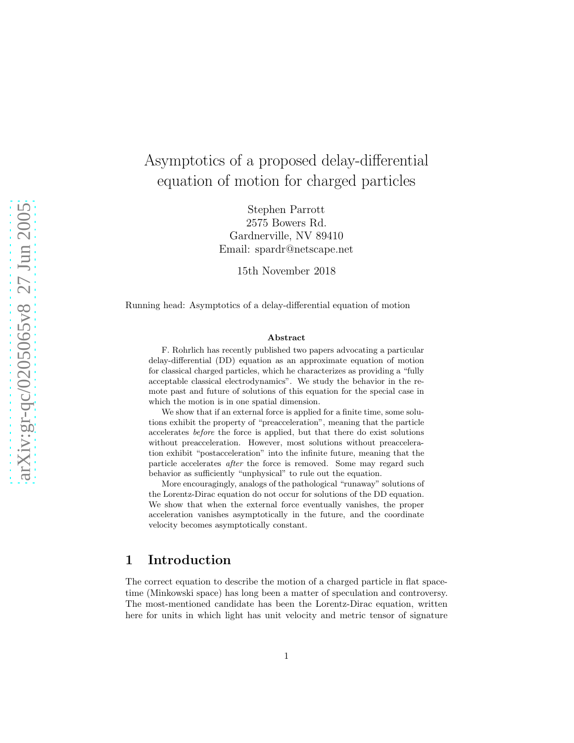# Asymptotics of a proposed delay-differential equation of motion for charged particles

Stephen Parrott 2575 Bowers Rd. Gardnerville, NV 89410 Email: spardr@netscape.net

15th November 2018

Running head: Asymptotics of a delay-differential equation of motion

#### Abstract

F. Rohrlich has recently published two papers advocating a particular delay-differential (DD) equation as an approximate equation of motion for classical charged particles, which he characterizes as providing a "fully acceptable classical electrodynamics". We study the behavior in the remote past and future of solutions of this equation for the special case in which the motion is in one spatial dimension.

We show that if an external force is applied for a finite time, some solutions exhibit the property of "preacceleration", meaning that the particle accelerates before the force is applied, but that there do exist solutions without preacceleration. However, most solutions without preacceleration exhibit "postacceleration" into the infinite future, meaning that the particle accelerates after the force is removed. Some may regard such behavior as sufficiently "unphysical" to rule out the equation.

More encouragingly, analogs of the pathological "runaway" solutions of the Lorentz-Dirac equation do not occur for solutions of the DD equation. We show that when the external force eventually vanishes, the proper acceleration vanishes asymptotically in the future, and the coordinate velocity becomes asymptotically constant.

### 1 Introduction

The correct equation to describe the motion of a charged particle in flat spacetime (Minkowski space) has long been a matter of speculation and controversy. The most-mentioned candidate has been the Lorentz-Dirac equation, written here for units in which light has unit velocity and metric tensor of signature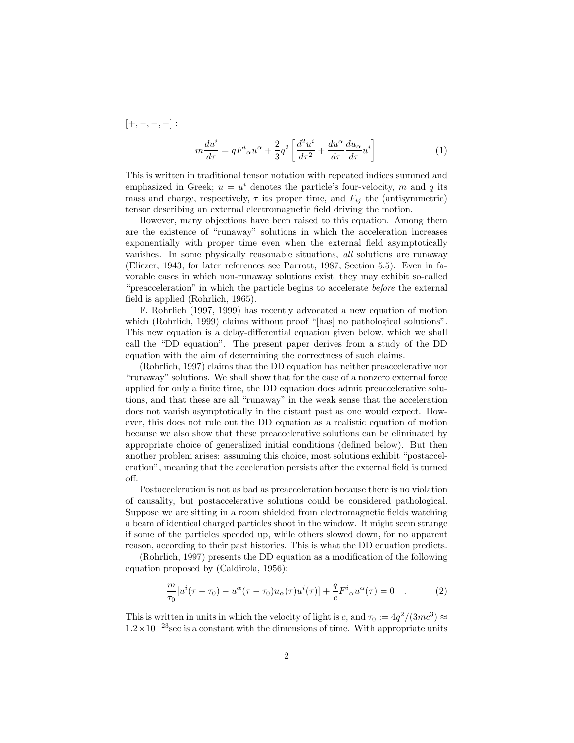<span id="page-1-0"></span> $[+, -, -, -]$ :  $m\frac{du^{i}}{d\tau}=qF^{i}{}_{\alpha}u^{\alpha}+\frac{2}{3}$  $\frac{2}{3}q^2\left[\frac{d^2u^i}{d\tau^2}\right]$  $rac{d^2u^i}{d\tau^2} + \frac{du^\alpha}{d\tau}$  $d\tau$  $\frac{du_{\alpha}}{d\tau}u^i\bigg]$ (1)

This is written in traditional tensor notation with repeated indices summed and emphasized in Greek;  $u = u^i$  denotes the particle's four-velocity, m and q its mass and charge, respectively,  $\tau$  its proper time, and  $F_{ij}$  the (antisymmetric) tensor describing an external electromagnetic field driving the motion.

However, many objections have been raised to this equation. Among them are the existence of "runaway" solutions in which the acceleration increases exponentially with proper time even when the external field asymptotically vanishes. In some physically reasonable situations, all solutions are runaway (Eliezer, 1943; for later references see Parrott, 1987, Section 5.5). Even in favorable cases in which non-runaway solutions exist, they may exhibit so-called "preacceleration" in which the particle begins to accelerate before the external field is applied (Rohrlich, 1965).

F. Rohrlich (1997, 1999) has recently advocated a new equation of motion which (Rohrlich, 1999) claims without proof "[has] no pathological solutions". This new equation is a delay-differential equation given below, which we shall call the "DD equation". The present paper derives from a study of the DD equation with the aim of determining the correctness of such claims.

(Rohrlich, 1997) claims that the DD equation has neither preaccelerative nor "runaway" solutions. We shall show that for the case of a nonzero external force applied for only a finite time, the DD equation does admit preaccelerative solutions, and that these are all "runaway" in the weak sense that the acceleration does not vanish asymptotically in the distant past as one would expect. However, this does not rule out the DD equation as a realistic equation of motion because we also show that these preaccelerative solutions can be eliminated by appropriate choice of generalized initial conditions (defined below). But then another problem arises: assuming this choice, most solutions exhibit "postacceleration", meaning that the acceleration persists after the external field is turned off.

Postacceleration is not as bad as preacceleration because there is no violation of causality, but postaccelerative solutions could be considered pathological. Suppose we are sitting in a room shielded from electromagnetic fields watching a beam of identical charged particles shoot in the window. It might seem strange if some of the particles speeded up, while others slowed down, for no apparent reason, according to their past histories. This is what the DD equation predicts.

(Rohrlich, 1997) presents the DD equation as a modification of the following equation proposed by (Caldirola, 1956):

$$
\frac{m}{\tau_0}[u^i(\tau-\tau_0)-u^{\alpha}(\tau-\tau_0)u_{\alpha}(\tau)u^i(\tau)]+\frac{q}{c}F^i{}_{\alpha}u^{\alpha}(\tau)=0
$$
 (2)

This is written in units in which the velocity of light is c, and  $\tau_0 := 4q^2/(3mc^3) \approx$  $1.2 \times 10^{-23}$  sec is a constant with the dimensions of time. With appropriate units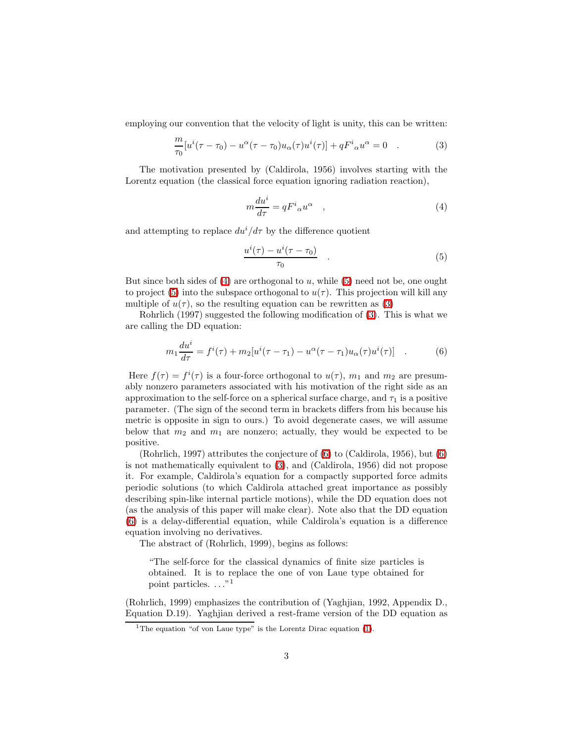<span id="page-2-2"></span>employing our convention that the velocity of light is unity, this can be written:

<span id="page-2-0"></span>
$$
\frac{m}{\tau_0}[u^i(\tau-\tau_0)-u^{\alpha}(\tau-\tau_0)u_{\alpha}(\tau)u^i(\tau)]+qF^i{}_{\alpha}u^{\alpha}=0
$$
 (3)

The motivation presented by (Caldirola, 1956) involves starting with the Lorentz equation (the classical force equation ignoring radiation reaction),

$$
m\frac{du^{i}}{d\tau} = qF^{i}{}_{\alpha}u^{\alpha} \quad , \tag{4}
$$

<span id="page-2-1"></span>and attempting to replace  $du^{i}/d\tau$  by the difference quotient

$$
\frac{u^{i}(\tau) - u^{i}(\tau - \tau_{0})}{\tau_{0}} \qquad . \tag{5}
$$

But since both sides of  $(4)$  are orthogonal to u, while  $(5)$  need not be, one ought to project [\(5\)](#page-2-1) into the subspace orthogonal to  $u(\tau)$ . This projection will kill any multiple of  $u(\tau)$ , so the resulting equation can be rewritten as [\(3\)](#page-2-2)

Rohrlich (1997) suggested the following modification of [\(3\)](#page-2-2). This is what we are calling the DD equation:

$$
m_1 \frac{du^i}{d\tau} = f^i(\tau) + m_2[u^i(\tau - \tau_1) - u^\alpha(\tau - \tau_1)u_\alpha(\tau)u^i(\tau)] \quad . \tag{6}
$$

Here  $f(\tau) = f^{i}(\tau)$  is a four-force orthogonal to  $u(\tau)$ ,  $m_1$  and  $m_2$  are presumably nonzero parameters associated with his motivation of the right side as an approximation to the self-force on a spherical surface charge, and  $\tau_1$  is a positive parameter. (The sign of the second term in brackets differs from his because his metric is opposite in sign to ours.) To avoid degenerate cases, we will assume below that  $m_2$  and  $m_1$  are nonzero; actually, they would be expected to be positive.

(Rohrlich, 1997) attributes the conjecture of [\(6\)](#page-20-0) to (Caldirola, 1956), but [\(6\)](#page-20-0) is not mathematically equivalent to [\(3\)](#page-2-2), and (Caldirola, 1956) did not propose it. For example, Caldirola's equation for a compactly supported force admits periodic solutions (to which Caldirola attached great importance as possibly describing spin-like internal particle motions), while the DD equation does not (as the analysis of this paper will make clear). Note also that the DD equation [\(6\)](#page-20-0) is a delay-differential equation, while Caldirola's equation is a difference equation involving no derivatives.

The abstract of (Rohrlich, 1999), begins as follows:

"The self-force for the classical dynamics of finite size particles is obtained. It is to replace the one of von Laue type obtained for point particles. ..."<sup>1</sup>

(Rohrlich, 1999) emphasizes the contribution of (Yaghjian, 1992, Appendix D., Equation D.19). Yaghjian derived a rest-frame version of the DD equation as

<sup>&</sup>lt;sup>1</sup>The equation "of von Laue type" is the Lorentz Dirac equation [\(1\)](#page-1-0).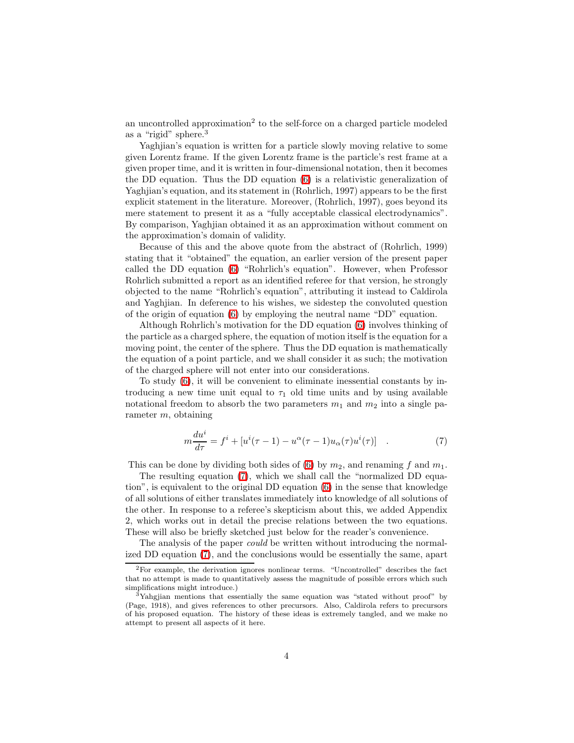an uncontrolled approximation<sup>2</sup> to the self-force on a charged particle modeled as a "rigid" sphere.<sup>3</sup>

Yaghjian's equation is written for a particle slowly moving relative to some given Lorentz frame. If the given Lorentz frame is the particle's rest frame at a given proper time, and it is written in four-dimensional notation, then it becomes the DD equation. Thus the DD equation [\(6\)](#page-20-0) is a relativistic generalization of Yaghjian's equation, and its statement in (Rohrlich, 1997) appears to be the first explicit statement in the literature. Moreover, (Rohrlich, 1997), goes beyond its mere statement to present it as a "fully acceptable classical electrodynamics". By comparison, Yaghjian obtained it as an approximation without comment on the approximation's domain of validity.

Because of this and the above quote from the abstract of (Rohrlich, 1999) stating that it "obtained" the equation, an earlier version of the present paper called the DD equation [\(6\)](#page-20-0) "Rohrlich's equation". However, when Professor Rohrlich submitted a report as an identified referee for that version, he strongly objected to the name "Rohrlich's equation", attributing it instead to Caldirola and Yaghjian. In deference to his wishes, we sidestep the convoluted question of the origin of equation [\(6\)](#page-20-0) by employing the neutral name "DD" equation.

Although Rohrlich's motivation for the DD equation [\(6\)](#page-20-0) involves thinking of the particle as a charged sphere, the equation of motion itself is the equation for a moving point, the center of the sphere. Thus the DD equation is mathematically the equation of a point particle, and we shall consider it as such; the motivation of the charged sphere will not enter into our considerations.

To study [\(6\)](#page-20-0), it will be convenient to eliminate inessential constants by introducing a new time unit equal to  $\tau_1$  old time units and by using available notational freedom to absorb the two parameters  $m_1$  and  $m_2$  into a single parameter m, obtaining

$$
m\frac{du^{i}}{d\tau} = f^{i} + [u^{i}(\tau - 1) - u^{\alpha}(\tau - 1)u_{\alpha}(\tau)u^{i}(\tau)] \quad . \tag{7}
$$

This can be done by dividing both sides of [\(6\)](#page-20-0) by  $m_2$ , and renaming f and  $m_1$ .

The resulting equation [\(7\)](#page-28-0), which we shall call the "normalized DD equation", is equivalent to the original DD equation [\(6\)](#page-20-0) in the sense that knowledge of all solutions of either translates immediately into knowledge of all solutions of the other. In response to a referee's skepticism about this, we added Appendix 2, which works out in detail the precise relations between the two equations. These will also be briefly sketched just below for the reader's convenience.

The analysis of the paper could be written without introducing the normalized DD equation [\(7\)](#page-28-0), and the conclusions would be essentially the same, apart

<sup>2</sup>For example, the derivation ignores nonlinear terms. "Uncontrolled" describes the fact that no attempt is made to quantitatively assess the magnitude of possible errors which such simplifications might introduce.)

<sup>3</sup>Yahgjian mentions that essentially the same equation was "stated without proof" by (Page, 1918), and gives references to other precursors. Also, Caldirola refers to precursors of his proposed equation. The history of these ideas is extremely tangled, and we make no attempt to present all aspects of it here.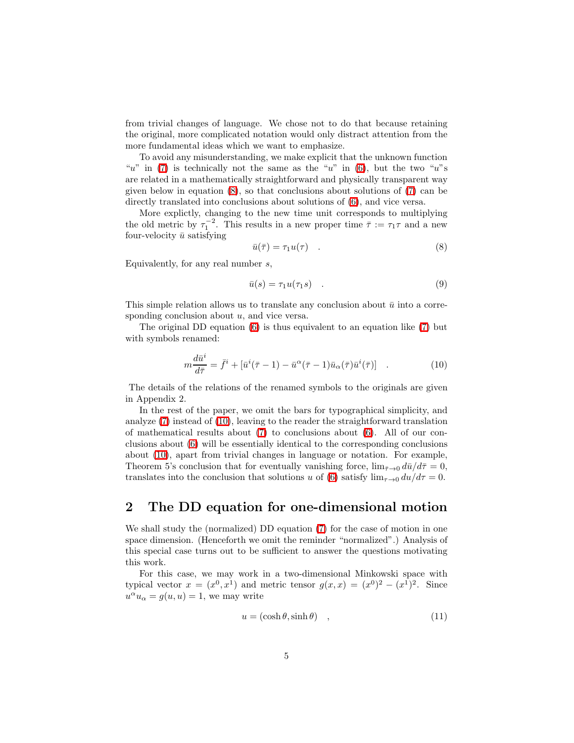from trivial changes of language. We chose not to do that because retaining the original, more complicated notation would only distract attention from the more fundamental ideas which we want to emphasize.

To avoid any misunderstanding, we make explicit that the unknown function "u" in [\(7\)](#page-28-0) is technically not the same as the "u" in [\(6\)](#page-20-0), but the two "u"s are related in a mathematically straightforward and physically transparent way given below in equation [\(8\)](#page-4-0), so that conclusions about solutions of [\(7\)](#page-28-0) can be directly translated into conclusions about solutions of [\(6\)](#page-20-0), and vice versa.

<span id="page-4-0"></span>More explictly, changing to the new time unit corresponds to multiplying the old metric by  $\tau_1^{-2}$ . This results in a new proper time  $\bar{\tau} := \tau_1 \tau$  and a new four-velocity  $\bar{u}$  satisfying

$$
\bar{u}(\bar{\tau}) = \tau_1 u(\tau) \quad . \tag{8}
$$

Equivalently, for any real number  $s$ ,

$$
\bar{u}(s) = \tau_1 u(\tau_1 s) \quad . \tag{9}
$$

This simple relation allows us to translate any conclusion about  $\bar{u}$  into a corresponding conclusion about  $u$ , and vice versa.

The original DD equation [\(6\)](#page-20-0) is thus equivalent to an equation like [\(7\)](#page-28-0) but with symbols renamed:

$$
m\frac{d\bar{u}^i}{d\bar{\tau}} = \bar{f}^i + [\bar{u}^i(\bar{\tau} - 1) - \bar{u}^\alpha(\bar{\tau} - 1)\bar{u}_\alpha(\bar{\tau})\bar{u}^i(\bar{\tau})] \quad . \tag{10}
$$

The details of the relations of the renamed symbols to the originals are given in Appendix 2.

In the rest of the paper, we omit the bars for typographical simplicity, and analyze [\(7\)](#page-28-0) instead of [\(10\)](#page-20-1), leaving to the reader the straightforward translation of mathematical results about  $(7)$  to conclusions about  $(6)$ . All of our conclusions about [\(6\)](#page-20-0) will be essentially identical to the corresponding conclusions about [\(10\)](#page-20-1), apart from trivial changes in language or notation. For example, Theorem 5's conclusion that for eventually vanishing force,  $\lim_{\bar{\tau}\to 0} d\bar{u}/d\bar{\tau} = 0$ , translates into the conclusion that solutions u of [\(6\)](#page-20-0) satisfy  $\lim_{\tau\to 0} du/d\tau = 0$ .

## 2 The DD equation for one-dimensional motion

We shall study the (normalized) DD equation [\(7\)](#page-28-0) for the case of motion in one space dimension. (Henceforth we omit the reminder "normalized".) Analysis of this special case turns out to be sufficient to answer the questions motivating this work.

<span id="page-4-1"></span>For this case, we may work in a two-dimensional Minkowski space with typical vector  $x = (x^0, x^1)$  and metric tensor  $g(x, x) = (x^0)^2 - (x^1)^2$ . Since  $u^{\alpha}u_{\alpha} = g(u, u) = 1$ , we may write

$$
u = (\cosh \theta, \sinh \theta) \quad , \tag{11}
$$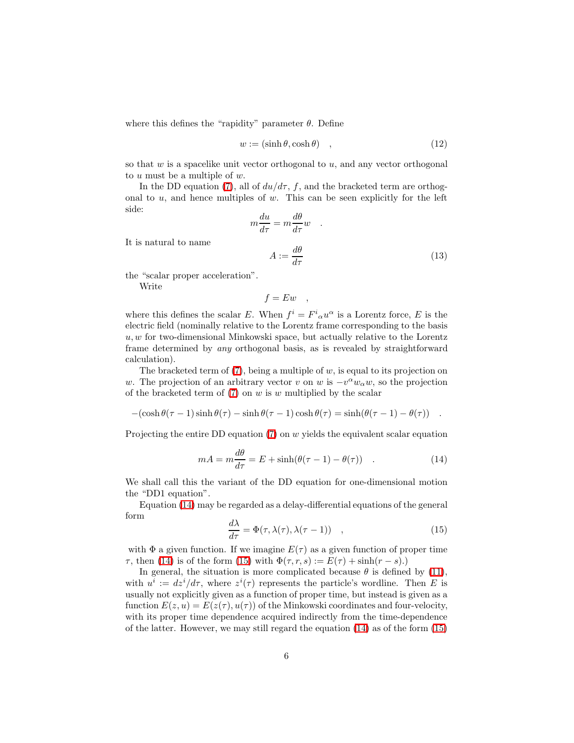where this defines the "rapidity" parameter  $\theta$ . Define

$$
w := (\sinh \theta, \cosh \theta) \quad , \tag{12}
$$

so that  $w$  is a spacelike unit vector orthogonal to  $u$ , and any vector orthogonal to u must be a multiple of w.

In the DD equation [\(7\)](#page-28-0), all of  $du/d\tau$ , f, and the bracketed term are orthogonal to  $u$ , and hence multiples of  $w$ . This can be seen explicitly for the left side:

$$
m\frac{du}{d\tau} = m\frac{d\theta}{d\tau}w
$$

$$
A := \frac{d\theta}{d\tau}
$$
(13)

It is natural to name

the "scalar proper acceleration".

Write

$$
f = Ew \quad ,
$$

where this defines the scalar E. When  $f^i = F^i{}_{\alpha} u^{\alpha}$  is a Lorentz force, E is the electric field (nominally relative to the Lorentz frame corresponding to the basis  $u, w$  for two-dimensional Minkowski space, but actually relative to the Lorentz frame determined by any orthogonal basis, as is revealed by straightforward calculation).

The bracketed term of  $(7)$ , being a multiple of w, is equal to its projection on w. The projection of an arbitrary vector v on w is  $-v^{\alpha}w_{\alpha}w$ , so the projection of the bracketed term of  $(7)$  on w is w multiplied by the scalar

 $-(\cosh \theta (\tau - 1) \sinh \theta (\tau) - \sinh \theta (\tau - 1) \cosh \theta (\tau) = \sinh (\theta (\tau - 1) - \theta (\tau))$ .

<span id="page-5-0"></span>Projecting the entire DD equation  $(7)$  on w yields the equivalent scalar equation

$$
mA = m\frac{d\theta}{d\tau} = E + \sinh(\theta(\tau - 1) - \theta(\tau)) \quad . \tag{14}
$$

We shall call this the variant of the DD equation for one-dimensional motion the "DD1 equation".

<span id="page-5-1"></span>Equation [\(14\)](#page-5-0) may be regarded as a delay-differential equations of the general form

$$
\frac{d\lambda}{d\tau} = \Phi(\tau, \lambda(\tau), \lambda(\tau - 1)) \quad , \tag{15}
$$

with  $\Phi$  a given function. If we imagine  $E(\tau)$  as a given function of proper time  $\tau$ , then [\(14\)](#page-5-0) is of the form [\(15\)](#page-5-1) with  $\Phi(\tau, r, s) := E(\tau) + \sinh(r - s)$ .

In general, the situation is more complicated because  $\theta$  is defined by [\(11\)](#page-4-1), with  $u^i := dz^i/d\tau$ , where  $z^i(\tau)$  represents the particle's wordline. Then E is usually not explicitly given as a function of proper time, but instead is given as a function  $E(z, u) = E(z(\tau), u(\tau))$  of the Minkowski coordinates and four-velocity, with its proper time dependence acquired indirectly from the time-dependence of the latter. However, we may still regard the equation [\(14\)](#page-5-0) as of the form [\(15\)](#page-5-1)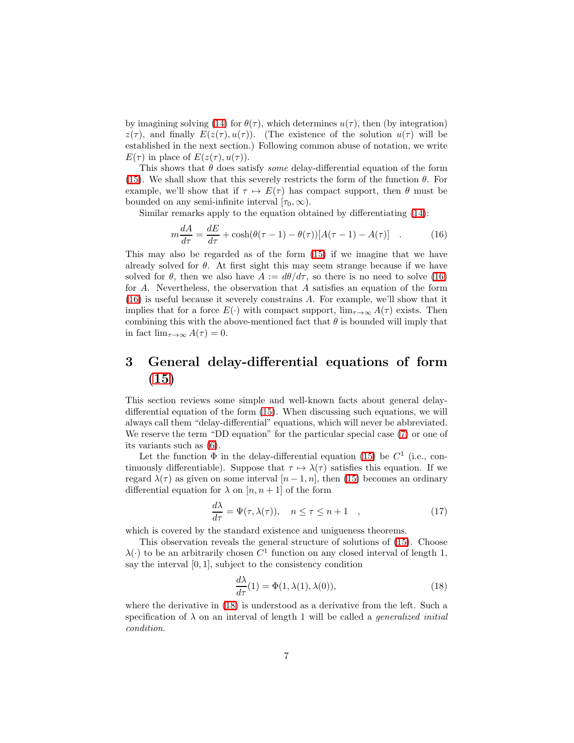by imagining solving [\(14\)](#page-5-0) for  $\theta(\tau)$ , which determines  $u(\tau)$ , then (by integration)  $z(\tau)$ , and finally  $E(z(\tau), u(\tau))$ . (The existence of the solution  $u(\tau)$  will be established in the next section.) Following common abuse of notation, we write  $E(\tau)$  in place of  $E(z(\tau), u(\tau))$ .

This shows that  $\theta$  does satisfy *some* delay-differential equation of the form [\(15\)](#page-5-1). We shall show that this severely restricts the form of the function  $\theta$ . For example, we'll show that if  $\tau \mapsto E(\tau)$  has compact support, then  $\theta$  must be bounded on any semi-infinite interval  $[\tau_0, \infty)$ .

<span id="page-6-0"></span>Similar remarks apply to the equation obtained by differentiating [\(14\)](#page-5-0):

$$
m\frac{dA}{d\tau} = \frac{dE}{d\tau} + \cosh(\theta(\tau - 1) - \theta(\tau))[A(\tau - 1) - A(\tau)] \quad . \tag{16}
$$

This may also be regarded as of the form [\(15\)](#page-5-1) if we imagine that we have already solved for  $\theta$ . At first sight this may seem strange because if we have solved for  $\theta$ , then we also have  $A := d\theta/d\tau$ , so there is no need to solve [\(16\)](#page-6-0) for A. Nevertheless, the observation that A satisfies an equation of the form [\(16\)](#page-6-0) is useful because it severely constrains A. For example, we'll show that it implies that for a force  $E(\cdot)$  with compact support,  $\lim_{\tau \to \infty} A(\tau)$  exists. Then combining this with the above-mentioned fact that  $\theta$  is bounded will imply that in fact  $\lim_{\tau \to \infty} A(\tau) = 0$ .

## 3 General delay-differential equations of form [\(15\)](#page-5-1)

This section reviews some simple and well-known facts about general delaydifferential equation of the form [\(15\)](#page-5-1). When discussing such equations, we will always call them "delay-differential" equations, which will never be abbreviated. We reserve the term "DD equation" for the particular special case [\(7\)](#page-28-0) or one of its variants such as [\(6\)](#page-20-0).

Let the function  $\Phi$  in the delay-differential equation [\(15\)](#page-5-1) be  $C^1$  (i.e., continuously differentiable). Suppose that  $\tau \mapsto \lambda(\tau)$  satisfies this equation. If we regard  $\lambda(\tau)$  as given on some interval  $[n-1,n]$ , then [\(15\)](#page-5-1) becomes an ordinary differential equation for  $\lambda$  on  $[n, n+1]$  of the form

$$
\frac{d\lambda}{d\tau} = \Psi(\tau, \lambda(\tau)), \quad n \le \tau \le n + 1 \quad , \tag{17}
$$

which is covered by the standard existence and unigueness theorems.

This observation reveals the general structure of solutions of [\(15\)](#page-5-1). Choose  $\lambda(\cdot)$  to be an arbitrarily chosen  $C^1$  function on any closed interval of length 1, say the interval  $[0, 1]$ , subject to the consistency condition

$$
\frac{d\lambda}{d\tau}(1) = \Phi(1, \lambda(1), \lambda(0)),\tag{18}
$$

<span id="page-6-1"></span>where the derivative in [\(18\)](#page-6-1) is understood as a derivative from the left. Such a specification of  $\lambda$  on an interval of length 1 will be called a *generalized initial* condition.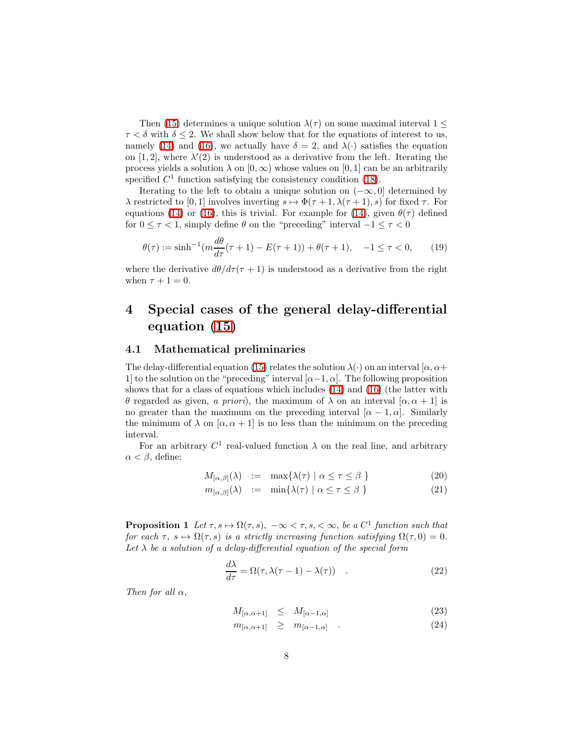Then [\(15\)](#page-5-1) determines a unique solution  $\lambda(\tau)$  on some maximal interval  $1 \leq$  $\tau < \delta$  with  $\delta \leq 2$ . We shall show below that for the equations of interest to us, namely [\(14\)](#page-5-0) and [\(16\)](#page-6-0), we actually have  $\delta = 2$ , and  $\lambda(\cdot)$  satisfies the equation on [1, 2], where  $\lambda'(2)$  is understood as a derivative from the left. Iterating the process yields a solution  $\lambda$  on  $[0, \infty)$  whose values on  $[0, 1]$  can be an arbitrarily specified  $C<sup>1</sup>$  function satisfying the consistency condition [\(18\)](#page-6-1).

Iterating to the left to obtain a unique solution on  $(-\infty, 0]$  determined by  $\lambda$  restricted to [0, 1] involves inverting  $s \mapsto \Phi(\tau + 1, \lambda(\tau + 1), s)$  for fixed  $\tau$ . For equations [\(14\)](#page-5-0) or [\(16\)](#page-6-0), this is trivial. For example for (14), given  $\theta(\tau)$  defined for  $0 \leq \tau < 1$ , simply define  $\theta$  on the "preceding" interval  $-1 \leq \tau < 0$ 

$$
\theta(\tau) := \sinh^{-1}(m \frac{d\theta}{d\tau}(\tau + 1) - E(\tau + 1)) + \theta(\tau + 1), \quad -1 \le \tau < 0,\tag{19}
$$

where the derivative  $d\theta/d\tau(\tau+1)$  is understood as a derivative from the right when  $\tau + 1 = 0$ .

## 4 Special cases of the general delay-differential equation [\(15\)](#page-5-1)

#### 4.1 Mathematical preliminaries

The delay-differential equation [\(15\)](#page-5-1) relates the solution  $\lambda(\cdot)$  on an interval [ $\alpha, \alpha +$ 1] to the solution on the "preceding" interval  $[\alpha-1,\alpha]$ . The following proposition shows that for a class of equations which includes [\(14\)](#page-5-0) and [\(16\)](#page-6-0) (the latter with θ regarded as given, a priori), the maximum of λ on an interval [α, α + 1] is no greater than the maximum on the preceding interval  $[\alpha - 1, \alpha]$ . Similarly the minimum of  $\lambda$  on  $[\alpha, \alpha + 1]$  is no less than the minimum on the preceding interval.

For an arbitrary  $C^1$  real-valued function  $\lambda$  on the real line, and arbitrary  $\alpha < \beta$ , define:

$$
M_{[\alpha,\beta]}(\lambda) := \max\{\lambda(\tau) \mid \alpha \le \tau \le \beta\}
$$
 (20)

$$
m_{[\alpha,\beta]}(\lambda) := \min\{\lambda(\tau) \mid \alpha \le \tau \le \beta\}
$$
 (21)

<span id="page-7-1"></span>**Proposition 1** Let  $\tau, s \mapsto \Omega(\tau, s)$ ,  $-\infty < \tau, s, < \infty$ , be a C<sup>1</sup> function such that for each  $\tau$ ,  $s \mapsto \Omega(\tau, s)$  is a strictly increasing function satisfying  $\Omega(\tau, 0) = 0$ . Let  $\lambda$  be a solution of a delay-differential equation of the special form

$$
\frac{d\lambda}{d\tau} = \Omega(\tau, \lambda(\tau - 1) - \lambda(\tau)) \quad . \tag{22}
$$

<span id="page-7-0"></span>Then for all  $\alpha$ ,

$$
M_{[\alpha,\alpha+1]} \leq M_{[\alpha-1,\alpha]}
$$
\n(23)

$$
m_{[\alpha,\alpha+1]} \geq m_{[\alpha-1,\alpha]} \quad . \tag{24}
$$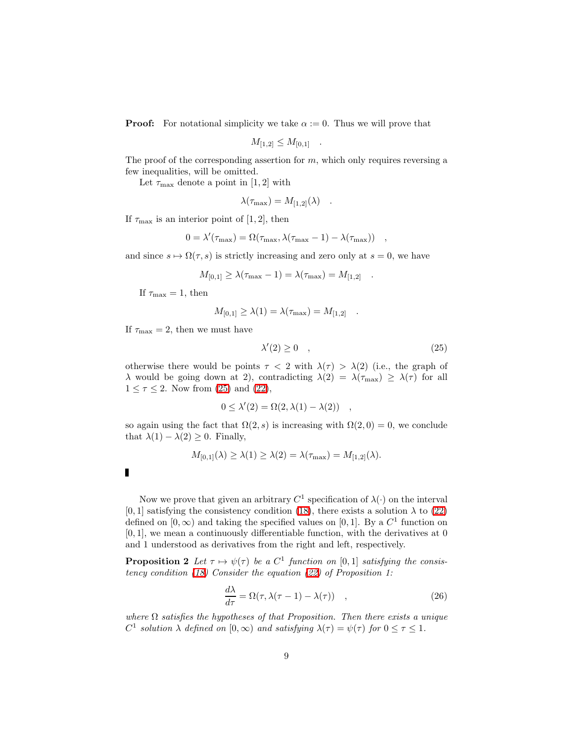**Proof:** For notational simplicity we take  $\alpha := 0$ . Thus we will prove that

$$
M_{[1,2]} \leq M_{[0,1]} \quad .
$$

The proof of the corresponding assertion for  $m$ , which only requires reversing a few inequalities, will be omitted.

Let  $\tau_{\text{max}}$  denote a point in [1, 2] with

$$
\lambda(\tau_{\max}) = M_{[1,2]}(\lambda) .
$$

If  $\tau_{\text{max}}$  is an interior point of [1, 2], then

$$
0 = \lambda'(\tau_{\text{max}}) = \Omega(\tau_{\text{max}}, \lambda(\tau_{\text{max}} - 1) - \lambda(\tau_{\text{max}})) \quad ,
$$

and since  $s \mapsto \Omega(\tau, s)$  is strictly increasing and zero only at  $s = 0$ , we have

$$
M_{[0,1]} \ge \lambda(\tau_{\text{max}} - 1) = \lambda(\tau_{\text{max}}) = M_{[1,2]}
$$
.

If  $\tau_{\text{max}} = 1$ , then

<span id="page-8-0"></span>
$$
M_{[0,1]} \ge \lambda(1) = \lambda(\tau_{\text{max}}) = M_{[1,2]}
$$
.

If  $\tau_{\text{max}} = 2$ , then we must have

$$
\lambda'(2) \ge 0 \quad , \tag{25}
$$

otherwise there would be points  $\tau$  < 2 with  $\lambda(\tau) > \lambda(2)$  (i.e., the graph of  $\lambda$  would be going down at 2), contradicting  $\lambda(2) = \lambda(\tau_{\text{max}}) \geq \lambda(\tau)$  for all  $1 \leq \tau \leq 2$ . Now from [\(25\)](#page-8-0) and [\(22\)](#page-7-0),

$$
0 \le \lambda'(2) = \Omega(2, \lambda(1) - \lambda(2)) ,
$$

so again using the fact that  $\Omega(2, s)$  is increasing with  $\Omega(2, 0) = 0$ , we conclude that  $\lambda(1) - \lambda(2) \geq 0$ . Finally,

$$
M_{[0,1]}(\lambda) \ge \lambda(1) \ge \lambda(2) = \lambda(\tau_{\text{max}}) = M_{[1,2]}(\lambda).
$$

Now we prove that given an arbitrary  $C^1$  specification of  $\lambda(\cdot)$  on the interval [0, 1] satisfying the consistency condition [\(18\)](#page-6-1), there exists a solution  $\lambda$  to [\(22\)](#page-7-0) defined on  $[0, \infty)$  and taking the specified values on  $[0, 1]$ . By a  $C<sup>1</sup>$  function on  $[0, 1]$ , we mean a continuously differentiable function, with the derivatives at 0 and 1 understood as derivatives from the right and left, respectively.

<span id="page-8-1"></span>**Proposition 2** Let  $\tau \mapsto \psi(\tau)$  be a  $C^1$  function on [0, 1] satisfying the consistency condition  $(18)$  Consider the equation  $(22)$  of Proposition 1:

$$
\frac{d\lambda}{d\tau} = \Omega(\tau, \lambda(\tau - 1) - \lambda(\tau)) \quad , \tag{26}
$$

where  $\Omega$  satisfies the hypotheses of that Proposition. Then there exists a unique  $C^1$  solution  $\lambda$  defined on  $[0,\infty)$  and satisfying  $\lambda(\tau) = \psi(\tau)$  for  $0 \leq \tau \leq 1$ .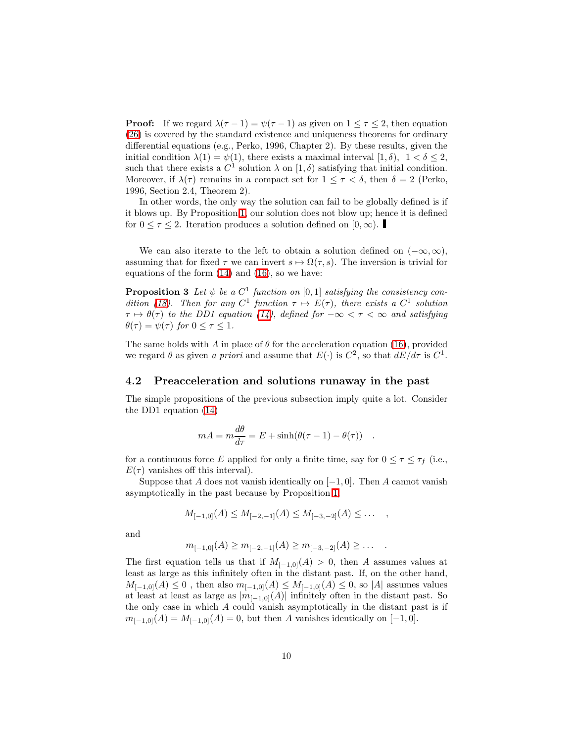**Proof:** If we regard  $\lambda(\tau - 1) = \psi(\tau - 1)$  as given on  $1 \leq \tau \leq 2$ , then equation [\(26\)](#page-8-1) is covered by the standard existence and uniqueness theorems for ordinary differential equations (e.g., Perko, 1996, Chapter 2). By these results, given the initial condition  $\lambda(1) = \psi(1)$ , there exists a maximal interval  $[1, \delta)$ ,  $1 < \delta \leq 2$ , such that there exists a  $C^1$  solution  $\lambda$  on  $[1,\delta)$  satisfying that initial condition. Moreover, if  $\lambda(\tau)$  remains in a compact set for  $1 \leq \tau < \delta$ , then  $\delta = 2$  (Perko, 1996, Section 2.4, Theorem 2).

In other words, the only way the solution can fail to be globally defined is if it blows up. By Proposition [1,](#page-7-1) our solution does not blow up; hence it is defined for  $0 \leq \tau \leq 2$ . Iteration produces a solution defined on  $[0, \infty)$ .

We can also iterate to the left to obtain a solution defined on  $(-\infty, \infty)$ , assuming that for fixed  $\tau$  we can invert  $s \mapsto \Omega(\tau, s)$ . The inversion is trivial for equations of the form [\(14\)](#page-5-0) and [\(16\)](#page-6-0), so we have:

**Proposition 3** Let  $\psi$  be a  $C^1$  function on  $[0,1]$  satisfying the consistency con-dition [\(18\)](#page-6-1). Then for any  $C^1$  function  $\tau \mapsto E(\tau)$ , there exists a  $C^1$  solution  $\tau \mapsto \theta(\tau)$  to the DD1 equation [\(14\)](#page-5-0), defined for  $-\infty < \tau < \infty$  and satisfying  $\theta(\tau) = \psi(\tau)$  for  $0 \leq \tau \leq 1$ .

The same holds with A in place of  $\theta$  for the acceleration equation [\(16\)](#page-6-0), provided we regard  $\theta$  as given a priori and assume that  $E(\cdot)$  is  $C^2$ , so that  $dE/d\tau$  is  $C^1$ .

#### 4.2 Preacceleration and solutions runaway in the past

The simple propositions of the previous subsection imply quite a lot. Consider the DD1 equation [\(14\)](#page-5-0)

$$
mA = m\frac{d\theta}{d\tau} = E + \sinh(\theta(\tau - 1) - \theta(\tau)) .
$$

for a continuous force E applied for only a finite time, say for  $0 \leq \tau \leq \tau_f$  (i.e.,  $E(\tau)$  vanishes off this interval).

Suppose that A does not vanish identically on  $[-1, 0]$ . Then A cannot vanish asymptotically in the past because by Proposition [1,](#page-7-1)

$$
M_{[-1,0]}(A) \leq M_{[-2,-1]}(A) \leq M_{[-3,-2]}(A) \leq \ldots ,
$$

and

$$
m_{[-1,0]}(A) \ge m_{[-2,-1]}(A) \ge m_{[-3,-2]}(A) \ge \dots
$$

The first equation tells us that if  $M_{[-1,0]}(A) > 0$ , then A assumes values at least as large as this infinitely often in the distant past. If, on the other hand,  $M_{[-1,0]}(A) \leq 0$ , then also  $m_{[-1,0]}(A) \leq M_{[-1,0]}(A) \leq 0$ , so |A| assumes values at least at least as large as  $|m_{[-1,0]}(A)|$  infinitely often in the distant past. So the only case in which A could vanish asymptotically in the distant past is if  $m_{[-1,0]}(A) = M_{[-1,0]}(A) = 0$ , but then A vanishes identically on  $[-1,0]$ .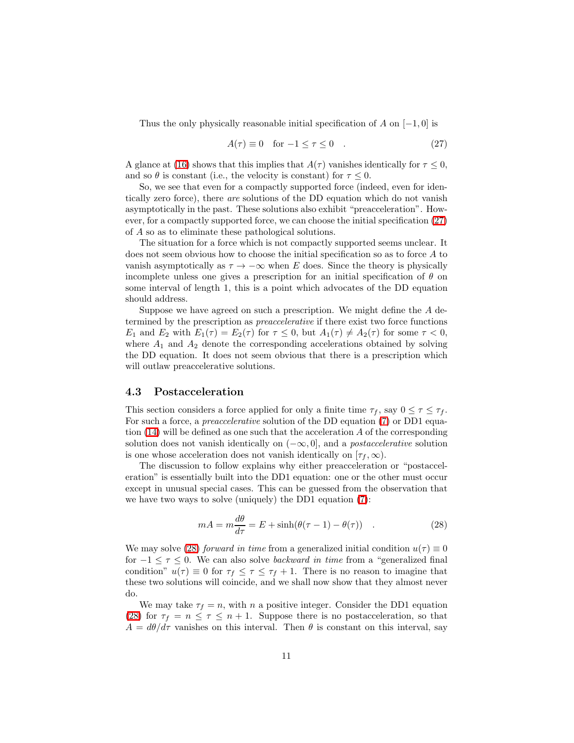<span id="page-10-0"></span>Thus the only physically reasonable initial specification of A on  $[-1, 0]$  is

$$
A(\tau) \equiv 0 \quad \text{for } -1 \le \tau \le 0 \quad . \tag{27}
$$

A glance at [\(16\)](#page-6-0) shows that this implies that  $A(\tau)$  vanishes identically for  $\tau \leq 0$ , and so  $\theta$  is constant (i.e., the velocity is constant) for  $\tau \leq 0$ .

So, we see that even for a compactly supported force (indeed, even for identically zero force), there are solutions of the DD equation which do not vanish asymptotically in the past. These solutions also exhibit "preacceleration". However, for a compactly supported force, we can choose the initial specification [\(27\)](#page-10-0) of A so as to eliminate these pathological solutions.

The situation for a force which is not compactly supported seems unclear. It does not seem obvious how to choose the initial specification so as to force A to vanish asymptotically as  $\tau \to -\infty$  when E does. Since the theory is physically incomplete unless one gives a prescription for an initial specification of  $\theta$  on some interval of length 1, this is a point which advocates of the DD equation should address.

Suppose we have agreed on such a prescription. We might define the A determined by the prescription as preaccelerative if there exist two force functions  $E_1$  and  $E_2$  with  $E_1(\tau) = E_2(\tau)$  for  $\tau \leq 0$ , but  $A_1(\tau) \neq A_2(\tau)$  for some  $\tau < 0$ , where  $A_1$  and  $A_2$  denote the corresponding accelerations obtained by solving the DD equation. It does not seem obvious that there is a prescription which will outlaw preaccelerative solutions.

#### 4.3 Postacceleration

This section considers a force applied for only a finite time  $\tau_f$ , say  $0 \leq \tau \leq \tau_f$ . For such a force, a *preaccelerative* solution of the DD equation [\(7\)](#page-28-0) or DD1 equation  $(14)$  will be defined as one such that the acceleration A of the corresponding solution does not vanish identically on  $(-\infty, 0]$ , and a *postaccelerative* solution is one whose acceleration does not vanish identically on  $[\tau_f, \infty)$ .

The discussion to follow explains why either preacceleration or "postacceleration" is essentially built into the DD1 equation: one or the other must occur except in unusual special cases. This can be guessed from the observation that we have two ways to solve (uniquely) the DD1 equation [\(7\)](#page-28-0):

$$
mA = m\frac{d\theta}{d\tau} = E + \sinh(\theta(\tau - 1) - \theta(\tau)) \quad . \tag{28}
$$

<span id="page-10-1"></span>We may solve [\(28\)](#page-10-1) forward in time from a generalized initial condition  $u(\tau) \equiv 0$ for  $-1 \leq \tau \leq 0$ . We can also solve *backward in time* from a "generalized final condition"  $u(\tau) \equiv 0$  for  $\tau_f \leq \tau \leq \tau_f + 1$ . There is no reason to imagine that these two solutions will coincide, and we shall now show that they almost never do.

We may take  $\tau_f = n$ , with n a positive integer. Consider the DD1 equation [\(28\)](#page-10-1) for  $\tau_f = n \leq \tau \leq n+1$ . Suppose there is no postacceleration, so that  $A = d\theta/d\tau$  vanishes on this interval. Then  $\theta$  is constant on this interval, say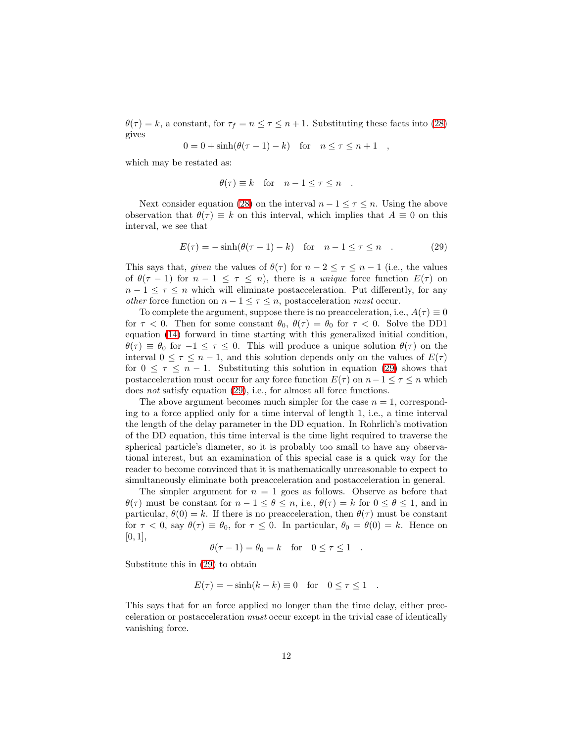$\theta(\tau) = k$ , a constant, for  $\tau_f = n \leq \tau \leq n+1$ . Substituting these facts into [\(28\)](#page-10-1) gives

$$
0 = 0 + \sinh(\theta(\tau - 1) - k) \quad \text{for} \quad n \le \tau \le n + 1 \quad ,
$$

which may be restated as:

$$
\theta(\tau) \equiv k \quad \text{for} \quad n - 1 \le \tau \le n \quad .
$$

<span id="page-11-0"></span>Next consider equation [\(28\)](#page-10-1) on the interval  $n-1 \leq \tau \leq n$ . Using the above observation that  $\theta(\tau) \equiv k$  on this interval, which implies that  $A \equiv 0$  on this interval, we see that

$$
E(\tau) = -\sinh(\theta(\tau - 1) - k) \quad \text{for} \quad n - 1 \le \tau \le n \quad . \tag{29}
$$

This says that, given the values of  $\theta(\tau)$  for  $n-2 \leq \tau \leq n-1$  (i.e., the values of  $\theta(\tau - 1)$  for  $n - 1 \leq \tau \leq n$ , there is a *unique* force function  $E(\tau)$  on  $n-1 \leq \tau \leq n$  which will eliminate postacceleration. Put differently, for any *other* force function on  $n - 1 \leq \tau \leq n$ , postacceleration *must* occur.

To complete the argument, suppose there is no preacceleration, i.e.,  $A(\tau) \equiv 0$ for  $\tau < 0$ . Then for some constant  $\theta_0$ ,  $\theta(\tau) = \theta_0$  for  $\tau < 0$ . Solve the DD1 equation [\(14\)](#page-5-0) forward in time starting with this generalized initial condition,  $\theta(\tau) \equiv \theta_0$  for  $-1 \leq \tau \leq 0$ . This will produce a unique solution  $\theta(\tau)$  on the interval  $0 \leq \tau \leq n-1$ , and this solution depends only on the values of  $E(\tau)$ for  $0 \leq \tau \leq n-1$ . Substituting this solution in equation [\(29\)](#page-11-0) shows that postacceleration must occur for any force function  $E(\tau)$  on  $n-1 \leq \tau \leq n$  which does not satisfy equation [\(29\)](#page-11-0), i.e., for almost all force functions.

The above argument becomes much simpler for the case  $n = 1$ , corresponding to a force applied only for a time interval of length 1, i.e., a time interval the length of the delay parameter in the DD equation. In Rohrlich's motivation of the DD equation, this time interval is the time light required to traverse the spherical particle's diameter, so it is probably too small to have any observational interest, but an examination of this special case is a quick way for the reader to become convinced that it is mathematically unreasonable to expect to simultaneously eliminate both preacceleration and postacceleration in general.

The simpler argument for  $n = 1$  goes as follows. Observe as before that  $\theta(\tau)$  must be constant for  $n-1 \leq \theta \leq n$ , i.e.,  $\theta(\tau) = k$  for  $0 \leq \theta \leq 1$ , and in particular,  $\theta(0) = k$ . If there is no preacceleration, then  $\theta(\tau)$  must be constant for  $\tau < 0$ , say  $\theta(\tau) \equiv \theta_0$ , for  $\tau \leq 0$ . In particular,  $\theta_0 = \theta(0) = k$ . Hence on  $[0, 1]$ ,

$$
\theta(\tau - 1) = \theta_0 = k \quad \text{for} \quad 0 \le \tau \le 1 \quad .
$$

Substitute this in [\(29\)](#page-11-0) to obtain

$$
E(\tau) = -\sinh(k - k) \equiv 0 \quad \text{for} \quad 0 \le \tau \le 1 \quad .
$$

This says that for an force applied no longer than the time delay, either precceleration or postacceleration must occur except in the trivial case of identically vanishing force.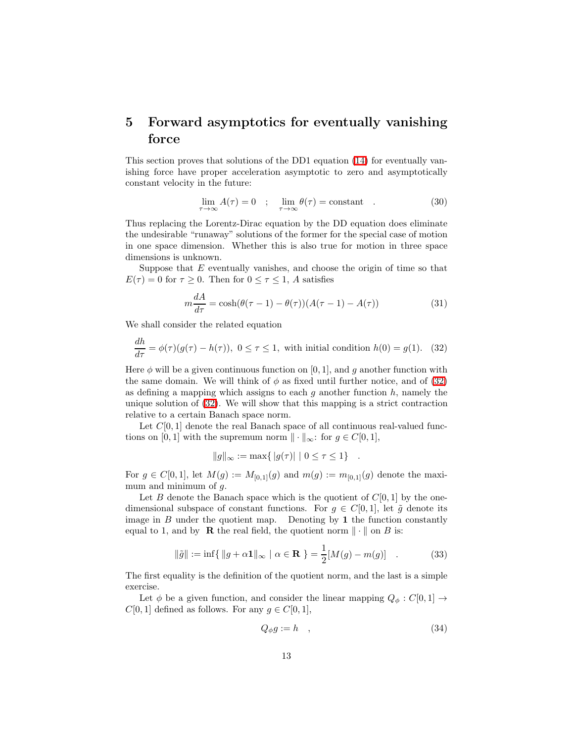## 5 Forward asymptotics for eventually vanishing force

This section proves that solutions of the DD1 equation [\(14\)](#page-5-0) for eventually vanishing force have proper acceleration asymptotic to zero and asymptotically constant velocity in the future:

$$
\lim_{\tau \to \infty} A(\tau) = 0 \quad ; \quad \lim_{\tau \to \infty} \theta(\tau) = \text{constant} \quad . \tag{30}
$$

Thus replacing the Lorentz-Dirac equation by the DD equation does eliminate the undesirable "runaway" solutions of the former for the special case of motion in one space dimension. Whether this is also true for motion in three space dimensions is unknown.

Suppose that  $E$  eventually vanishes, and choose the origin of time so that  $E(\tau) = 0$  for  $\tau \geq 0$ . Then for  $0 \leq \tau \leq 1$ , A satisfies

$$
m\frac{dA}{d\tau} = \cosh(\theta(\tau - 1) - \theta(\tau))(A(\tau - 1) - A(\tau))\tag{31}
$$

<span id="page-12-0"></span>We shall consider the related equation

$$
\frac{dh}{d\tau} = \phi(\tau)(g(\tau) - h(\tau)), \ 0 \le \tau \le 1, \text{ with initial condition } h(0) = g(1). \tag{32}
$$

Here  $\phi$  will be a given continuous function on [0, 1], and g another function with the same domain. We will think of  $\phi$  as fixed until further notice, and of [\(32\)](#page-12-0) as defining a mapping which assigns to each  $g$  another function  $h$ , namely the unique solution of [\(32\)](#page-12-0). We will show that this mapping is a strict contraction relative to a certain Banach space norm.

Let  $C[0, 1]$  denote the real Banach space of all continuous real-valued functions on [0, 1] with the supremum norm  $\|\cdot\|_{\infty}$ : for  $g \in C[0, 1]$ ,

$$
||g||_{\infty} := \max\{ |g(\tau)| \mid 0 \le \tau \le 1 \} .
$$

For  $g \in C[0,1]$ , let  $M(g) := M_{[0,1]}(g)$  and  $m(g) := m_{[0,1]}(g)$  denote the maximum and minimum of  $q$ .

Let B denote the Banach space which is the quotient of  $C[0, 1]$  by the onedimensional subspace of constant functions. For  $g \in C[0,1]$ , let  $\tilde{g}$  denote its image in  $B$  under the quotient map. Denoting by 1 the function constantly equal to 1, and by **R** the real field, the quotient norm  $\|\cdot\|$  on B is:

$$
\|\tilde{g}\| := \inf\{\|g + \alpha \mathbf{1}\|_{\infty} \mid \alpha \in \mathbf{R}\} = \frac{1}{2}[M(g) - m(g)] \quad . \tag{33}
$$

The first equality is the definition of the quotient norm, and the last is a simple exercise.

Let  $\phi$  be a given function, and consider the linear mapping  $Q_{\phi}: C[0,1] \rightarrow$  $C[0, 1]$  defined as follows. For any  $g \in C[0, 1]$ ,

$$
Q_{\phi}g := h \quad , \tag{34}
$$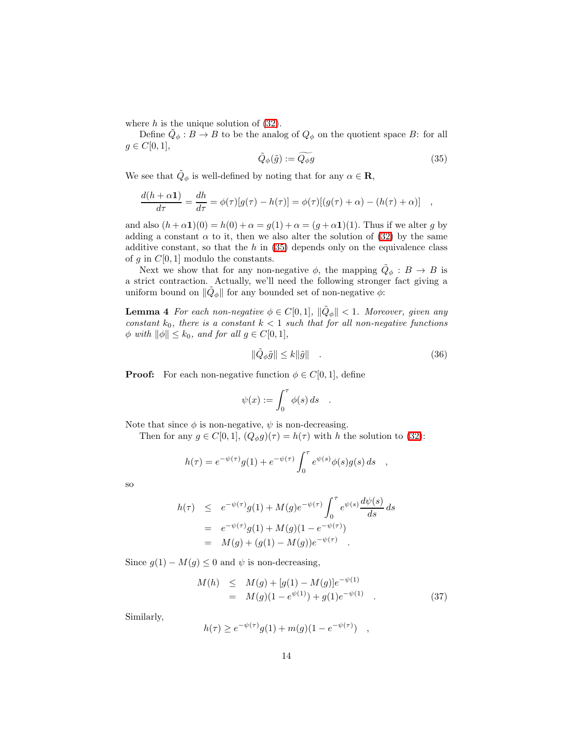where  $h$  is the unique solution of  $(32)$ .

<span id="page-13-0"></span>Define  $\tilde{Q}_{\phi}: B \to B$  to be the analog of  $Q_{\phi}$  on the quotient space B: for all  $g \in C[0,1],$ 

$$
\tilde{Q}_{\phi}(\tilde{g}) := \widetilde{Q_{\phi}g} \tag{35}
$$

We see that  $\tilde{Q}_{\phi}$  is well-defined by noting that for any  $\alpha \in \mathbf{R}$ ,

$$
\frac{d(h+\alpha \mathbf{1})}{d\tau} = \frac{dh}{d\tau} = \phi(\tau)[g(\tau) - h(\tau)] = \phi(\tau)[(g(\tau) + \alpha) - (h(\tau) + \alpha)] \quad ,
$$

and also  $(h+\alpha 1)(0) = h(0) + \alpha = g(1) + \alpha = (g+\alpha 1)(1)$ . Thus if we alter g by adding a constant  $\alpha$  to it, then we also alter the solution of [\(32\)](#page-12-0) by the same additive constant, so that the  $h$  in [\(35\)](#page-13-0) depends only on the equivalence class of g in  $C[0, 1]$  modulo the constants.

Next we show that for any non-negative  $\phi$ , the mapping  $\tilde{Q}_{\phi}: B \to B$  is a strict contraction. Actually, we'll need the following stronger fact giving a uniform bound on  $\|\tilde{Q}_{\phi}\|$  for any bounded set of non-negative  $\phi$ :

**Lemma 4** For each non-negative  $\phi \in C[0,1]$ ,  $\|\tilde{Q}_{\phi}\| < 1$ . Moreover, given any constant  $k_0$ , there is a constant  $k < 1$  such that for all non-negative functions  $\phi$  with  $\|\phi\| \leq k_0$ , and for all  $g \in C[0, 1]$ ,

<span id="page-13-2"></span>
$$
\|\tilde{Q}_{\phi}\tilde{g}\| \le k \|\tilde{g}\| \tag{36}
$$

**Proof:** For each non-negative function  $\phi \in C[0,1]$ , define

$$
\psi(x) := \int_0^\tau \phi(s) \, ds \quad .
$$

Note that since  $\phi$  is non-negative,  $\psi$  is non-decreasing.

Then for any  $g \in C[0,1], (Q_{\phi}g)(\tau) = h(\tau)$  with h the solution to [\(32\)](#page-12-0):

$$
h(\tau) = e^{-\psi(\tau)}g(1) + e^{-\psi(\tau)} \int_0^{\tau} e^{\psi(s)} \phi(s)g(s) ds ,
$$

so

$$
h(\tau) \leq e^{-\psi(\tau)}g(1) + M(g)e^{-\psi(\tau)} \int_0^{\tau} e^{\psi(s)} \frac{d\psi(s)}{ds} ds
$$
  
=  $e^{-\psi(\tau)}g(1) + M(g)(1 - e^{-\psi(\tau)})$   
=  $M(g) + (g(1) - M(g))e^{-\psi(\tau)}$ .

<span id="page-13-1"></span>Since  $g(1) - M(g) \leq 0$  and  $\psi$  is non-decreasing,

$$
M(h) \leq M(g) + [g(1) - M(g)]e^{-\psi(1)}
$$
  
= 
$$
M(g)(1 - e^{\psi(1)}) + g(1)e^{-\psi(1)}
$$
 (37)

Similarly,

$$
h(\tau) \ge e^{-\psi(\tau)}g(1) + m(g)(1 - e^{-\psi(\tau)}) ,
$$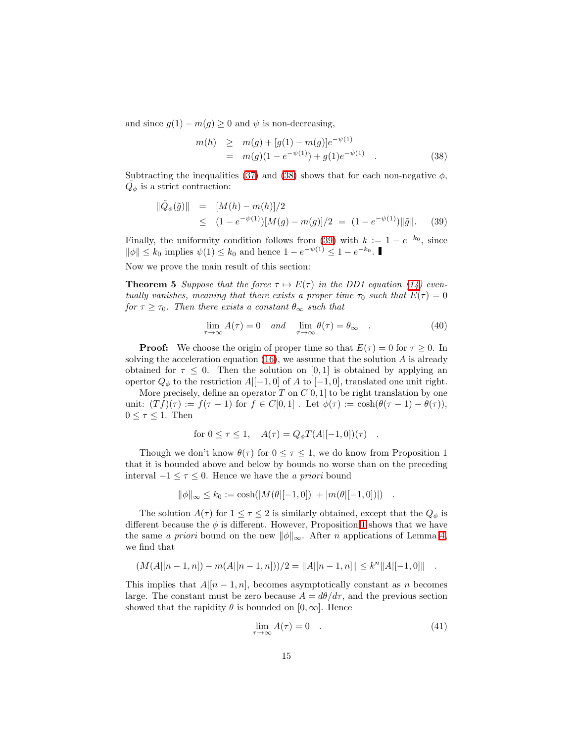<span id="page-14-0"></span>and since  $g(1) - m(g) \geq 0$  and  $\psi$  is non-decreasing,

$$
m(h) \ge m(g) + [g(1) - m(g)]e^{-\psi(1)}
$$
  
=  $m(g)(1 - e^{-\psi(1)}) + g(1)e^{-\psi(1)}$  (38)

<span id="page-14-1"></span>Subtracting the inequalities [\(37\)](#page-13-1) and [\(38\)](#page-14-0) shows that for each non-negative  $\phi$ ,  $\tilde{Q_{\phi}}$  is a strict contraction:

$$
\begin{array}{rcl}\n\|\tilde{Q}_{\phi}(\tilde{g})\| & = & [M(h) - m(h)]/2 \\
& \leq & (1 - e^{-\psi(1)})[M(g) - m(g)]/2 = (1 - e^{-\psi(1)})\|\tilde{g}\|.\n\end{array} \tag{39}
$$

Finally, the uniformity condition follows from [\(39\)](#page-14-1) with  $k := 1 - e^{-k_0}$ , since  $\|\phi\| \le k_0$  implies  $\psi(1) \le k_0$  and hence  $1 - e^{-\psi(1)} \le 1 - e^{-k_0}$ .

Now we prove the main result of this section:

**Theorem 5** Suppose that the force  $\tau \mapsto E(\tau)$  in the DD1 equation [\(14\)](#page-5-0) eventually vanishes, meaning that there exists a proper time  $\tau_0$  such that  $E(\tau) = 0$ for  $\tau \geq \tau_0$ . Then there exists a constant  $\theta_{\infty}$  such that

$$
\lim_{\tau \to \infty} A(\tau) = 0 \quad and \quad \lim_{\tau \to \infty} \theta(\tau) = \theta_{\infty} \quad . \tag{40}
$$

**Proof:** We choose the origin of proper time so that  $E(\tau) = 0$  for  $\tau \ge 0$ . In solving the acceleration equation  $(16)$ , we assume that the solution A is already obtained for  $\tau \leq 0$ . Then the solution on [0, 1] is obtained by applying an opertor  $Q_{\phi}$  to the restriction  $A|[-1,0]$  of A to  $[-1,0]$ , translated one unit right.

More precisely, define an operator T on  $C[0, 1]$  to be right translation by one unit:  $(T f)(\tau) := f(\tau - 1)$  for  $f \in C[0, 1]$ . Let  $\phi(\tau) := \cosh(\theta(\tau - 1) - \theta(\tau)),$  $0 \leq \tau \leq 1$ . Then

for 
$$
0 \le \tau \le 1
$$
,  $A(\tau) = Q_{\phi}T(A|[-1,0])(\tau)$ .

Though we don't know  $\theta(\tau)$  for  $0 \leq \tau \leq 1$ , we do know from Proposition 1 that it is bounded above and below by bounds no worse than on the preceding interval −1 ≤ τ ≤ 0. Hence we have the a priori bound

$$
\|\phi\|_{\infty} \le k_0 := \cosh(|M(\theta|[-1,0])| + |m(\theta|[-1,0])|) .
$$

The solution  $A(\tau)$  for  $1 \leq \tau \leq 2$  is similarly obtained, except that the  $Q_{\phi}$  is different because the  $\phi$  is different. However, Proposition [1](#page-7-1) shows that we have the same a priori bound on the new  $\|\phi\|_{\infty}$ . After n applications of Lemma [4,](#page-13-2) we find that

$$
(M(A|[n-1,n])-m(A|[n-1,n]))/2 = ||A|[n-1,n]|| \le k^n ||A|[-1,0]||.
$$

This implies that  $A|[n-1,n]$ , becomes asymptotically constant as n becomes large. The constant must be zero because  $A = d\theta/d\tau$ , and the previous section showed that the rapidity  $\theta$  is bounded on [0,  $\infty$ ]. Hence

$$
\lim_{\tau \to \infty} A(\tau) = 0 \quad . \tag{41}
$$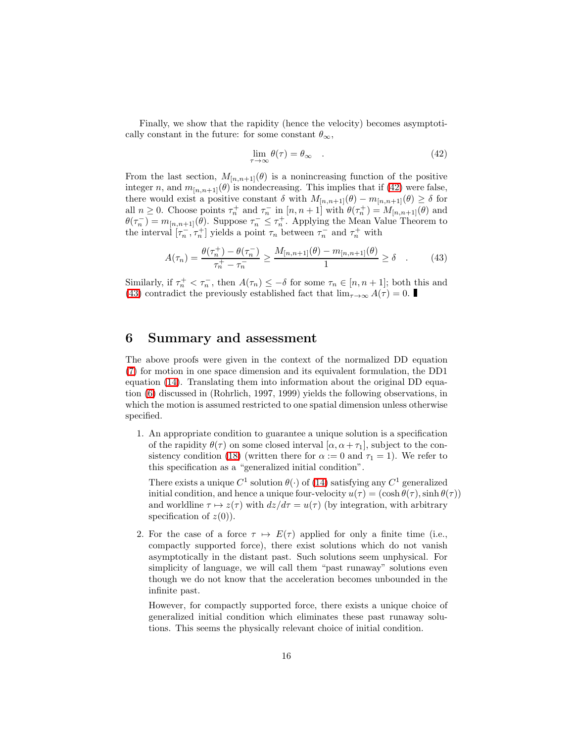<span id="page-15-0"></span>Finally, we show that the rapidity (hence the velocity) becomes asymptotically constant in the future: for some constant  $\theta_{\infty}$ ,

$$
\lim_{\tau \to \infty} \theta(\tau) = \theta_{\infty} \quad . \tag{42}
$$

From the last section,  $M_{[n,n+1]}(\theta)$  is a nonincreasing function of the positive integer n, and  $m_{[n,n+1]}(\theta)$  is nondecreasing. This implies that if [\(42\)](#page-15-0) were false, there would exist a positive constant  $\delta$  with  $M_{[n,n+1]}(\theta) - m_{[n,n+1]}(\theta) \geq \delta$  for all  $n \geq 0$ . Choose points  $\tau_n^+$  and  $\tau_n^-$  in  $[n, n+1]$  with  $\theta(\tau_n^+) = M_{[n,n+1]}(\theta)$  and  $\theta(\tau_n^-) = m_{[n,n+1]}(\theta)$ . Suppose  $\tau_n^- \leq \tau_n^+$ . Applying the Mean Value Theorem to the interval  $[\tau_n^-,\tau_n^+]$  yields a point  $\tau_n$  between  $\tau_n^-$  and  $\tau_n^+$  with

$$
A(\tau_n) = \frac{\theta(\tau_n^+) - \theta(\tau_n^-)}{\tau_n^+ - \tau_n^-} \ge \frac{M_{[n,n+1]}(\theta) - m_{[n,n+1]}(\theta)}{1} \ge \delta \quad . \tag{43}
$$

<span id="page-15-1"></span>Similarly, if  $\tau_n^+ < \tau_n^-$ , then  $A(\tau_n) \leq -\delta$  for some  $\tau_n \in [n, n+1]$ ; both this and [\(43\)](#page-15-1) contradict the previously established fact that  $\lim_{\tau\to\infty} A(\tau) = 0$ .

### 6 Summary and assessment

The above proofs were given in the context of the normalized DD equation [\(7\)](#page-28-0) for motion in one space dimension and its equivalent formulation, the DD1 equation [\(14\)](#page-5-0). Translating them into information about the original DD equation [\(6\)](#page-20-0) discussed in (Rohrlich, 1997, 1999) yields the following observations, in which the motion is assumed restricted to one spatial dimension unless otherwise specified.

1. An appropriate condition to guarantee a unique solution is a specification of the rapidity  $\theta(\tau)$  on some closed interval  $[\alpha, \alpha + \tau_1]$ , subject to the con-sistency condition [\(18\)](#page-6-1) (written there for  $\alpha := 0$  and  $\tau_1 = 1$ ). We refer to this specification as a "generalized initial condition".

There exists a unique  $C^1$  solution  $\theta(\cdot)$  of [\(14\)](#page-5-0) satisfying any  $C^1$  generalized initial condition, and hence a unique four-velocity  $u(\tau) = (\cosh \theta(\tau), \sinh \theta(\tau))$ and worldline  $\tau \mapsto z(\tau)$  with  $dz/d\tau = u(\tau)$  (by integration, with arbitrary specification of  $z(0)$ ).

2. For the case of a force  $\tau \mapsto E(\tau)$  applied for only a finite time (i.e., compactly supported force), there exist solutions which do not vanish asymptotically in the distant past. Such solutions seem unphysical. For simplicity of language, we will call them "past runaway" solutions even though we do not know that the acceleration becomes unbounded in the infinite past.

However, for compactly supported force, there exists a unique choice of generalized initial condition which eliminates these past runaway solutions. This seems the physically relevant choice of initial condition.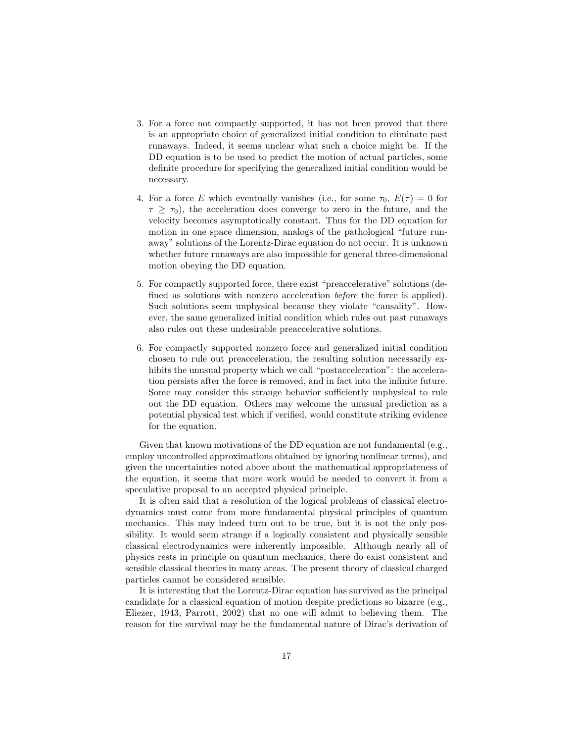- 3. For a force not compactly supported, it has not been proved that there is an appropriate choice of generalized initial condition to eliminate past runaways. Indeed, it seems unclear what such a choice might be. If the DD equation is to be used to predict the motion of actual particles, some definite procedure for specifying the generalized initial condition would be necessary.
- 4. For a force E which eventually vanishes (i.e., for some  $\tau_0$ ,  $E(\tau) = 0$  for  $\tau \geq \tau_0$ , the acceleration does converge to zero in the future, and the velocity becomes asymptotically constant. Thus for the DD equation for motion in one space dimension, analogs of the pathological "future runaway" solutions of the Lorentz-Dirac equation do not occur. It is unknown whether future runaways are also impossible for general three-dimensional motion obeying the DD equation.
- 5. For compactly supported force, there exist "preaccelerative" solutions (defined as solutions with nonzero acceleration before the force is applied). Such solutions seem unphysical because they violate "causality". However, the same generalized initial condition which rules out past runaways also rules out these undesirable preaccelerative solutions.
- 6. For compactly supported nonzero force and generalized initial condition chosen to rule out preacceleration, the resulting solution necessarily exhibits the unusual property which we call "postacceleration": the acceleration persists after the force is removed, and in fact into the infinite future. Some may consider this strange behavior sufficiently unphysical to rule out the DD equation. Others may welcome the unusual prediction as a potential physical test which if verified, would constitute striking evidence for the equation.

Given that known motivations of the DD equation are not fundamental  $(e.g.,)$ employ uncontrolled approximations obtained by ignoring nonlinear terms), and given the uncertainties noted above about the mathematical appropriateness of the equation, it seems that more work would be needed to convert it from a speculative proposal to an accepted physical principle.

It is often said that a resolution of the logical problems of classical electrodynamics must come from more fundamental physical principles of quantum mechanics. This may indeed turn out to be true, but it is not the only possibility. It would seem strange if a logically consistent and physically sensible classical electrodynamics were inherently impossible. Although nearly all of physics rests in principle on quantum mechanics, there do exist consistent and sensible classical theories in many areas. The present theory of classical charged particles cannot be considered sensible.

It is interesting that the Lorentz-Dirac equation has survived as the principal candidate for a classical equation of motion despite predictions so bizarre (e.g., Eliezer, 1943, Parrott, 2002) that no one will admit to believing them. The reason for the survival may be the fundamental nature of Dirac's derivation of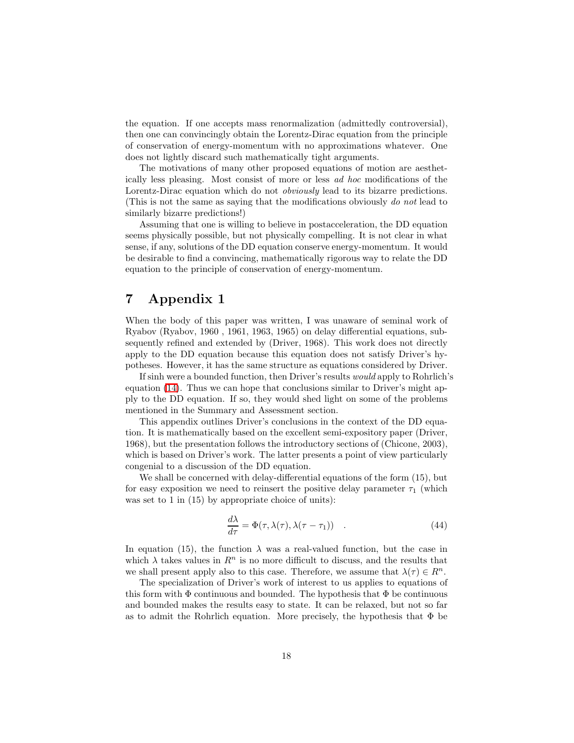the equation. If one accepts mass renormalization (admittedly controversial), then one can convincingly obtain the Lorentz-Dirac equation from the principle of conservation of energy-momentum with no approximations whatever. One does not lightly discard such mathematically tight arguments.

The motivations of many other proposed equations of motion are aesthetically less pleasing. Most consist of more or less ad hoc modifications of the Lorentz-Dirac equation which do not *obviously* lead to its bizarre predictions. (This is not the same as saying that the modifications obviously do not lead to similarly bizarre predictions!)

Assuming that one is willing to believe in postacceleration, the DD equation seems physically possible, but not physically compelling. It is not clear in what sense, if any, solutions of the DD equation conserve energy-momentum. It would be desirable to find a convincing, mathematically rigorous way to relate the DD equation to the principle of conservation of energy-momentum.

### 7 Appendix 1

When the body of this paper was written, I was unaware of seminal work of Ryabov (Ryabov, 1960 , 1961, 1963, 1965) on delay differential equations, subsequently refined and extended by (Driver, 1968). This work does not directly apply to the DD equation because this equation does not satisfy Driver's hypotheses. However, it has the same structure as equations considered by Driver.

If sinh were a bounded function, then Driver's results would apply to Rohrlich's equation [\(14\)](#page-5-0). Thus we can hope that conclusions similar to Driver's might apply to the DD equation. If so, they would shed light on some of the problems mentioned in the Summary and Assessment section.

This appendix outlines Driver's conclusions in the context of the DD equation. It is mathematically based on the excellent semi-expository paper (Driver, 1968), but the presentation follows the introductory sections of (Chicone, 2003), which is based on Driver's work. The latter presents a point of view particularly congenial to a discussion of the DD equation.

<span id="page-17-0"></span>We shall be concerned with delay-differential equations of the form (15), but for easy exposition we need to reinsert the positive delay parameter  $\tau_1$  (which was set to 1 in (15) by appropriate choice of units):

$$
\frac{d\lambda}{d\tau} = \Phi(\tau, \lambda(\tau), \lambda(\tau - \tau_1)) \quad . \tag{44}
$$

In equation (15), the function  $\lambda$  was a real-valued function, but the case in which  $\lambda$  takes values in  $\mathbb{R}^n$  is no more difficult to discuss, and the results that we shall present apply also to this case. Therefore, we assume that  $\lambda(\tau) \in R^n$ .

The specialization of Driver's work of interest to us applies to equations of this form with  $\Phi$  continuous and bounded. The hypothesis that  $\Phi$  be continuous and bounded makes the results easy to state. It can be relaxed, but not so far as to admit the Rohrlich equation. More precisely, the hypothesis that  $\Phi$  be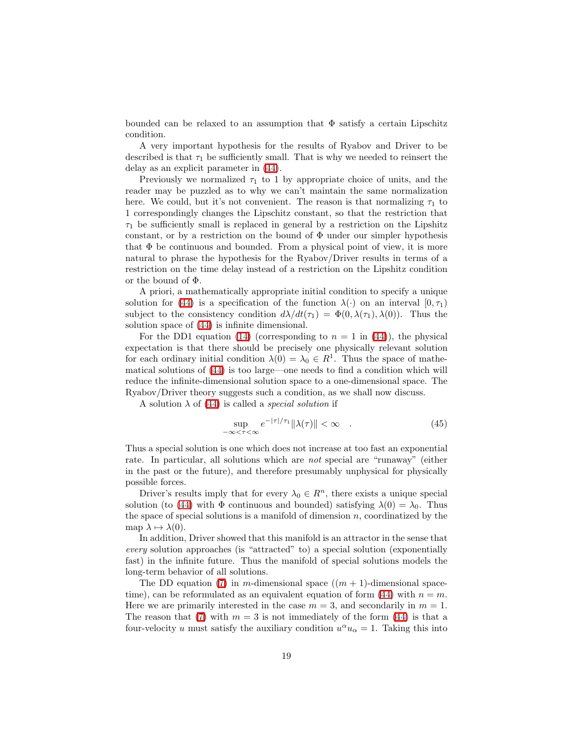bounded can be relaxed to an assumption that  $\Phi$  satisfy a certain Lipschitz condition.

A very important hypothesis for the results of Ryabov and Driver to be described is that  $\tau_1$  be sufficiently small. That is why we needed to reinsert the delay as an explicit parameter in [\(44\)](#page-17-0).

Previously we normalized  $\tau_1$  to 1 by appropriate choice of units, and the reader may be puzzled as to why we can't maintain the same normalization here. We could, but it's not convenient. The reason is that normalizing  $\tau_1$  to 1 correspondingly changes the Lipschitz constant, so that the restriction that  $\tau_1$  be sufficiently small is replaced in general by a restriction on the Lipshitz constant, or by a restriction on the bound of  $\Phi$  under our simpler hypothesis that  $\Phi$  be continuous and bounded. From a physical point of view, it is more natural to phrase the hypothesis for the Ryabov/Driver results in terms of a restriction on the time delay instead of a restriction on the Lipshitz condition or the bound of Φ.

A priori, a mathematically appropriate initial condition to specify a unique solution for [\(44\)](#page-17-0) is a specification of the function  $\lambda(\cdot)$  on an interval  $[0, \tau_1)$ subject to the consistency condition  $d\lambda/dt(\tau_1) = \Phi(0, \lambda(\tau_1), \lambda(0))$ . Thus the solution space of [\(44\)](#page-17-0) is infinite dimensional.

For the DD1 equation [\(14\)](#page-5-0) (corresponding to  $n = 1$  in [\(44\)](#page-17-0)), the physical expectation is that there should be precisely one physically relevant solution for each ordinary initial condition  $\lambda(0) = \lambda_0 \in R^1$ . Thus the space of mathematical solutions of [\(44\)](#page-17-0) is too large—one needs to find a condition which will reduce the infinite-dimensional solution space to a one-dimensional space. The Ryabov/Driver theory suggests such a condition, as we shall now discuss.

A solution  $\lambda$  of [\(44\)](#page-17-0) is called a *special solution* if

$$
\sup_{-\infty < \tau < \infty} e^{-|\tau|/\tau_1} \|\lambda(\tau)\| < \infty \quad . \tag{45}
$$

Thus a special solution is one which does not increase at too fast an exponential rate. In particular, all solutions which are not special are "runaway" (either in the past or the future), and therefore presumably unphysical for physically possible forces.

Driver's results imply that for every  $\lambda_0 \in R^n$ , there exists a unique special solution (to [\(44\)](#page-17-0) with  $\Phi$  continuous and bounded) satisfying  $\lambda(0) = \lambda_0$ . Thus the space of special solutions is a manifold of dimension  $n$ , coordinatized by the map  $\lambda \mapsto \lambda(0)$ .

In addition, Driver showed that this manifold is an attractor in the sense that every solution approaches (is "attracted" to) a special solution (exponentially fast) in the infinite future. Thus the manifold of special solutions models the long-term behavior of all solutions.

The DD equation [\(7\)](#page-28-0) in m-dimensional space  $((m + 1)$ -dimensional space-time), can be reformulated as an equivalent equation of form [\(44\)](#page-17-0) with  $n = m$ . Here we are primarily interested in the case  $m = 3$ , and secondarily in  $m = 1$ . The reason that [\(7\)](#page-28-0) with  $m = 3$  is not immediately of the form [\(44\)](#page-17-0) is that a four-velocity u must satisfy the auxiliary condition  $u^{\alpha}u_{\alpha} = 1$ . Taking this into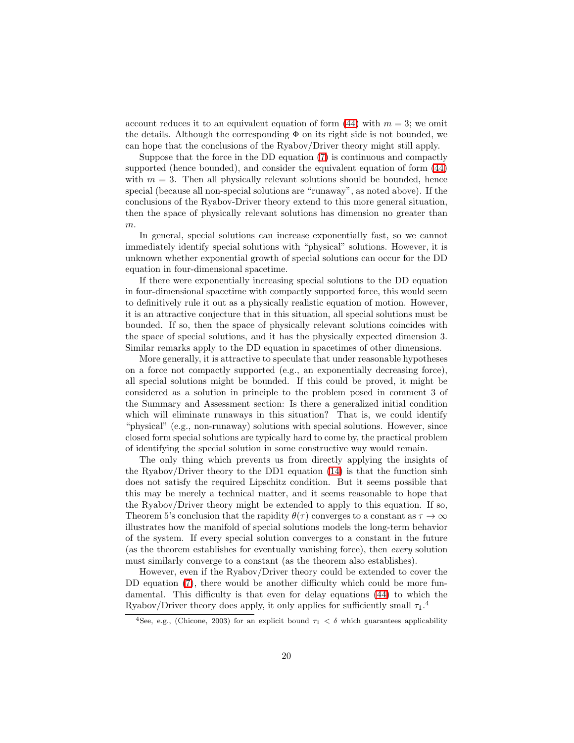account reduces it to an equivalent equation of form  $(44)$  with  $m = 3$ ; we omit the details. Although the corresponding  $\Phi$  on its right side is not bounded, we can hope that the conclusions of the Ryabov/Driver theory might still apply.

Suppose that the force in the DD equation [\(7\)](#page-28-0) is continuous and compactly supported (hence bounded), and consider the equivalent equation of form [\(44\)](#page-17-0) with  $m = 3$ . Then all physically relevant solutions should be bounded, hence special (because all non-special solutions are "runaway", as noted above). If the conclusions of the Ryabov-Driver theory extend to this more general situation, then the space of physically relevant solutions has dimension no greater than m.

In general, special solutions can increase exponentially fast, so we cannot immediately identify special solutions with "physical" solutions. However, it is unknown whether exponential growth of special solutions can occur for the DD equation in four-dimensional spacetime.

If there were exponentially increasing special solutions to the DD equation in four-dimensional spacetime with compactly supported force, this would seem to definitively rule it out as a physically realistic equation of motion. However, it is an attractive conjecture that in this situation, all special solutions must be bounded. If so, then the space of physically relevant solutions coincides with the space of special solutions, and it has the physically expected dimension 3. Similar remarks apply to the DD equation in spacetimes of other dimensions.

More generally, it is attractive to speculate that under reasonable hypotheses on a force not compactly supported (e.g., an exponentially decreasing force), all special solutions might be bounded. If this could be proved, it might be considered as a solution in principle to the problem posed in comment 3 of the Summary and Assessment section: Is there a generalized initial condition which will eliminate runaways in this situation? That is, we could identify "physical" (e.g., non-runaway) solutions with special solutions. However, since closed form special solutions are typically hard to come by, the practical problem of identifying the special solution in some constructive way would remain.

The only thing which prevents us from directly applying the insights of the Ryabov/Driver theory to the DD1 equation  $(14)$  is that the function sinh does not satisfy the required Lipschitz condition. But it seems possible that this may be merely a technical matter, and it seems reasonable to hope that the Ryabov/Driver theory might be extended to apply to this equation. If so, Theorem 5's conclusion that the rapidity  $\theta(\tau)$  converges to a constant as  $\tau \to \infty$ illustrates how the manifold of special solutions models the long-term behavior of the system. If every special solution converges to a constant in the future (as the theorem establishes for eventually vanishing force), then every solution must similarly converge to a constant (as the theorem also establishes).

However, even if the Ryabov/Driver theory could be extended to cover the DD equation [\(7\)](#page-28-0), there would be another difficulty which could be more fundamental. This difficulty is that even for delay equations [\(44\)](#page-17-0) to which the Ryabov/Driver theory does apply, it only applies for sufficiently small  $\tau_1$ <sup>4</sup>

<sup>&</sup>lt;sup>4</sup>See, e.g., (Chicone, 2003) for an explicit bound  $\tau_1 < \delta$  which guarantees applicability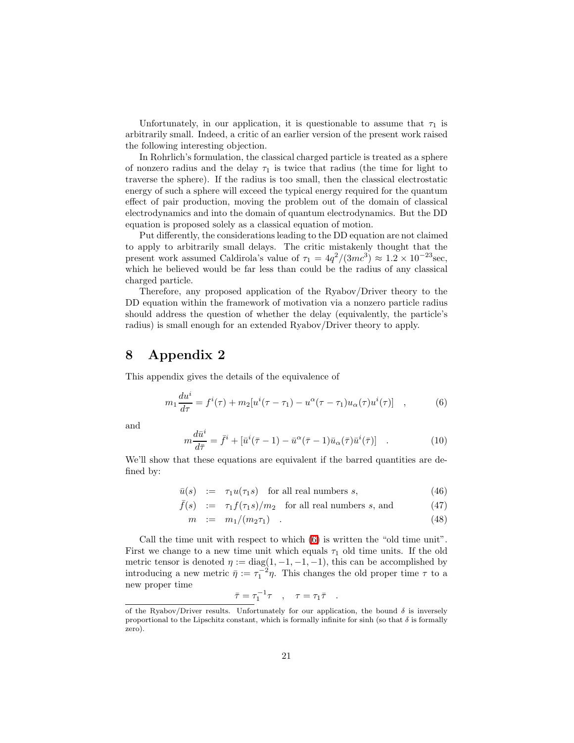Unfortunately, in our application, it is questionable to assume that  $\tau_1$  is arbitrarily small. Indeed, a critic of an earlier version of the present work raised the following interesting objection.

In Rohrlich's formulation, the classical charged particle is treated as a sphere of nonzero radius and the delay  $\tau_1$  is twice that radius (the time for light to traverse the sphere). If the radius is too small, then the classical electrostatic energy of such a sphere will exceed the typical energy required for the quantum effect of pair production, moving the problem out of the domain of classical electrodynamics and into the domain of quantum electrodynamics. But the DD equation is proposed solely as a classical equation of motion.

Put differently, the considerations leading to the DD equation are not claimed to apply to arbitrarily small delays. The critic mistakenly thought that the present work assumed Caldirola's value of  $\tau_1 = 4q^2/(3mc^3) \approx 1.2 \times 10^{-23}$  sec, which he believed would be far less than could be the radius of any classical charged particle.

Therefore, any proposed application of the Ryabov/Driver theory to the DD equation within the framework of motivation via a nonzero particle radius should address the question of whether the delay (equivalently, the particle's radius) is small enough for an extended Ryabov/Driver theory to apply.

### 8 Appendix 2

<span id="page-20-0"></span>This appendix gives the details of the equivalence of

$$
m_1 \frac{du^i}{d\tau} = f^i(\tau) + m_2[u^i(\tau - \tau_1) - u^\alpha(\tau - \tau_1)u_\alpha(\tau)u^i(\tau)] \quad , \tag{6}
$$

<span id="page-20-1"></span>and

$$
m\frac{d\bar{u}^i}{d\bar{\tau}} = \bar{f}^i + [\bar{u}^i(\bar{\tau} - 1) - \bar{u}^\alpha(\bar{\tau} - 1)\bar{u}_\alpha(\bar{\tau})\bar{u}^i(\bar{\tau})] \quad . \tag{10}
$$

<span id="page-20-2"></span>We'll show that these equations are equivalent if the barred quantities are defined by:

 $\bar{u}(s)$  :=  $\tau_1 u(\tau_1 s)$  for all real numbers s, (46)

$$
\bar{f}(s) := \tau_1 f(\tau_1 s) / m_2 \quad \text{for all real numbers } s, \text{ and} \tag{47}
$$

$$
m := m_1/(m_2 \tau_1) \tag{48}
$$

Call the time unit with respect to which [\(6\)](#page-20-0) is written the "old time unit". First we change to a new time unit which equals  $\tau_1$  old time units. If the old metric tensor is denoted  $\eta := diag(1, -1, -1, -1)$ , this can be accomplished by introducing a new metric  $\bar{\eta} := \tau_1^{-2} \eta$ . This changes the old proper time  $\tau$  to a new proper time

$$
\bar{\tau} = \tau_1^{-1} \tau \quad , \quad \tau = \tau_1 \bar{\tau} \quad .
$$

of the Ryabov/Driver results. Unfortunately for our application, the bound  $\delta$  is inversely proportional to the Lipschitz constant, which is formally infinite for sinh (so that  $\delta$  is formally zero).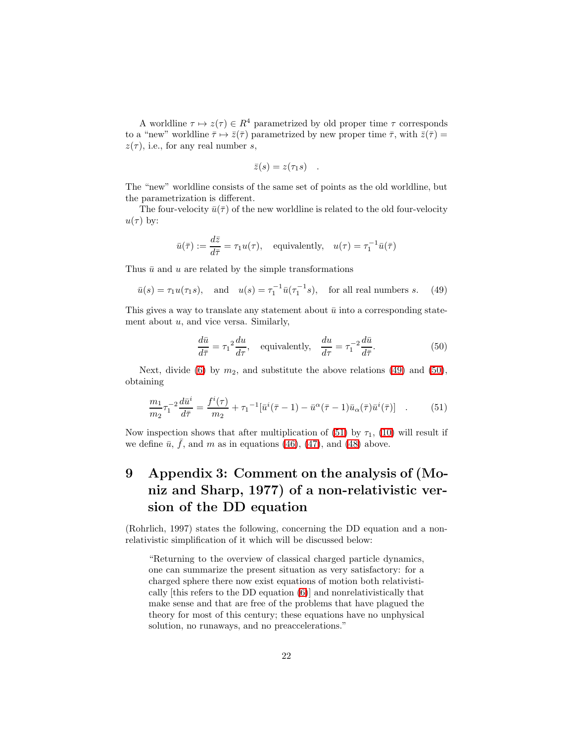A worldline  $\tau \mapsto z(\tau) \in R^4$  parametrized by old proper time  $\tau$  corresponds to a "new" worldline  $\bar{\tau} \mapsto \bar{z}(\bar{\tau})$  parametrized by new proper time  $\bar{\tau}$ , with  $\bar{z}(\bar{\tau}) =$  $z(\tau)$ , i.e., for any real number s,

$$
\bar{z}(s) = z(\tau_1 s) .
$$

The "new" worldline consists of the same set of points as the old worldline, but the parametrization is different.

The four-velocity  $\bar{u}(\bar{\tau})$  of the new worldline is related to the old four-velocity  $u(\tau)$  by:

$$
\bar{u}(\bar{\tau}) := \frac{d\bar{z}}{d\bar{\tau}} = \tau_1 u(\tau)
$$
, equivalently,  $u(\tau) = \tau_1^{-1} \bar{u}(\bar{\tau})$ 

<span id="page-21-0"></span>Thus  $\bar{u}$  and u are related by the simple transformations

$$
\bar{u}(s) = \tau_1 u(\tau_1 s)
$$
, and  $u(s) = \tau_1^{-1} \bar{u}(\tau_1^{-1} s)$ , for all real numbers s. (49)

<span id="page-21-1"></span>This gives a way to translate any statement about  $\bar{u}$  into a corresponding statement about  $u$ , and vice versa. Similarly,

$$
\frac{d\bar{u}}{d\bar{\tau}} = \tau_1^2 \frac{du}{d\tau}, \quad \text{equivalently,} \quad \frac{du}{d\tau} = \tau_1^{-2} \frac{d\bar{u}}{d\bar{\tau}}.
$$
 (50)

<span id="page-21-2"></span>Next, divide [\(6\)](#page-20-0) by  $m_2$ , and substitute the above relations [\(49\)](#page-21-0) and [\(50\)](#page-21-1), obtaining

$$
\frac{m_1}{m_2} \tau_1^{-2} \frac{d\bar{u}^i}{d\bar{\tau}} = \frac{f^i(\tau)}{m_2} + \tau_1^{-1} [\bar{u}^i(\bar{\tau} - 1) - \bar{u}^\alpha(\bar{\tau} - 1)\bar{u}_\alpha(\bar{\tau})\bar{u}^i(\bar{\tau})] \quad . \tag{51}
$$

Now inspection shows that after multiplication of [\(51\)](#page-21-2) by  $\tau_1$ , [\(10\)](#page-20-1) will result if we define  $\bar{u}$ ,  $\bar{f}$ , and  $m$  as in equations [\(46\)](#page-20-2), [\(47\)](#page-20-2), and [\(48\)](#page-20-2) above.

# 9 Appendix 3: Comment on the analysis of (Moniz and Sharp, 1977) of a non-relativistic version of the DD equation

(Rohrlich, 1997) states the following, concerning the DD equation and a nonrelativistic simplification of it which will be discussed below:

"Returning to the overview of classical charged particle dynamics, one can summarize the present situation as very satisfactory: for a charged sphere there now exist equations of motion both relativistically [this refers to the DD equation [\(6\)](#page-20-0)] and nonrelativistically that make sense and that are free of the problems that have plagued the theory for most of this century; these equations have no unphysical solution, no runaways, and no preaccelerations."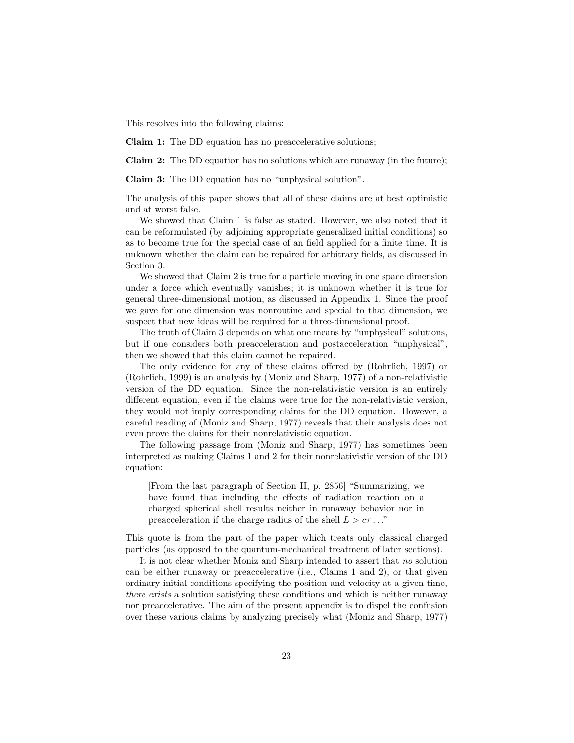This resolves into the following claims:

Claim 1: The DD equation has no preaccelerative solutions;

Claim 2: The DD equation has no solutions which are runaway (in the future);

Claim 3: The DD equation has no "unphysical solution".

The analysis of this paper shows that all of these claims are at best optimistic and at worst false.

We showed that Claim 1 is false as stated. However, we also noted that it can be reformulated (by adjoining appropriate generalized initial conditions) so as to become true for the special case of an field applied for a finite time. It is unknown whether the claim can be repaired for arbitrary fields, as discussed in Section 3.

We showed that Claim 2 is true for a particle moving in one space dimension under a force which eventually vanishes; it is unknown whether it is true for general three-dimensional motion, as discussed in Appendix 1. Since the proof we gave for one dimension was nonroutine and special to that dimension, we suspect that new ideas will be required for a three-dimensional proof.

The truth of Claim 3 depends on what one means by "unphysical" solutions, but if one considers both preacceleration and postacceleration "unphysical", then we showed that this claim cannot be repaired.

The only evidence for any of these claims offered by (Rohrlich, 1997) or (Rohrlich, 1999) is an analysis by (Moniz and Sharp, 1977) of a non-relativistic version of the DD equation. Since the non-relativistic version is an entirely different equation, even if the claims were true for the non-relativistic version, they would not imply corresponding claims for the DD equation. However, a careful reading of (Moniz and Sharp, 1977) reveals that their analysis does not even prove the claims for their nonrelativistic equation.

The following passage from (Moniz and Sharp, 1977) has sometimes been interpreted as making Claims 1 and 2 for their nonrelativistic version of the DD equation:

[From the last paragraph of Section II, p. 2856] "Summarizing, we have found that including the effects of radiation reaction on a charged spherical shell results neither in runaway behavior nor in preacceleration if the charge radius of the shell  $L > c\tau ...$ "

This quote is from the part of the paper which treats only classical charged particles (as opposed to the quantum-mechanical treatment of later sections).

It is not clear whether Moniz and Sharp intended to assert that no solution can be either runaway or preaccelerative (i.e., Claims 1 and 2), or that given ordinary initial conditions specifying the position and velocity at a given time, there exists a solution satisfying these conditions and which is neither runaway nor preaccelerative. The aim of the present appendix is to dispel the confusion over these various claims by analyzing precisely what (Moniz and Sharp, 1977)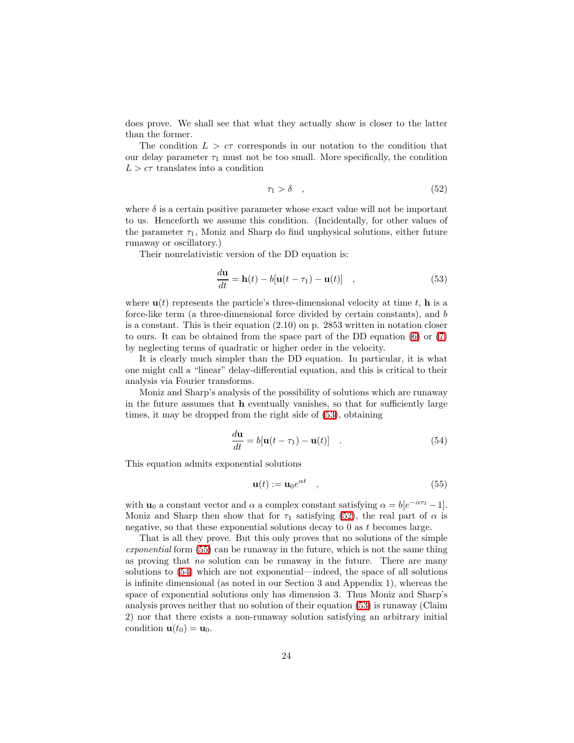does prove. We shall see that what they actually show is closer to the latter than the former.

The condition  $L > c\tau$  corresponds in our notation to the condition that our delay parameter  $\tau_1$  must not be too small. More specifically, the condition  $L > c\tau$  translates into a condition

<span id="page-23-1"></span>
$$
\tau_1 > \delta \quad , \tag{52}
$$

where  $\delta$  is a certain positive parameter whose exact value will not be important to us. Henceforth we assume this condition. (Incidentally, for other values of the parameter  $\tau_1$ , Moniz and Sharp do find unphysical solutions, either future runaway or oscillatory.)

<span id="page-23-0"></span>Their nonrelativistic version of the DD equation is:

$$
\frac{d\mathbf{u}}{dt} = \mathbf{h}(t) - b[\mathbf{u}(t - \tau_1) - \mathbf{u}(t)] \quad , \tag{53}
$$

where  $\mathbf{u}(t)$  represents the particle's three-dimensional velocity at time t, **h** is a force-like term (a three-dimensional force divided by certain constants), and b is a constant. This is their equation (2.10) on p. 2853 written in notation closer to ours. It can be obtained from the space part of the DD equation [\(6\)](#page-20-0) or [\(7\)](#page-28-0) by neglecting terms of quadratic or higher order in the velocity.

It is clearly much simpler than the DD equation. In particular, it is what one might call a "linear" delay-differential equation, and this is critical to their analysis via Fourier transforms.

<span id="page-23-3"></span>Moniz and Sharp's analysis of the possibility of solutions which are runaway in the future assumes that h eventually vanishes, so that for sufficiently large times, it may be dropped from the right side of [\(53\)](#page-23-0), obtaining

<span id="page-23-2"></span>
$$
\frac{d\mathbf{u}}{dt} = b[\mathbf{u}(t-\tau_1) - \mathbf{u}(t)] \quad . \tag{54}
$$

This equation admits exponential solutions

$$
\mathbf{u}(t) := \mathbf{u}_0 e^{\alpha t} \quad , \tag{55}
$$

with  $\mathbf{u}_0$  a constant vector and  $\alpha$  a complex constant satisfying  $\alpha = b[e^{-\alpha \tau_1} - 1]$ . Moniz and Sharp then show that for  $\tau_1$  satisfying [\(52\)](#page-23-1), the real part of  $\alpha$  is negative, so that these exponential solutions decay to  $0$  as  $t$  becomes large.

That is all they prove. But this only proves that no solutions of the simple exponential form  $(55)$  can be runaway in the future, which is not the same thing as proving that no solution can be runaway in the future. There are many solutions to [\(54\)](#page-23-3) which are not exponential—indeed, the space of all solutions is infinite dimensional (as noted in our Section 3 and Appendix 1), whereas the space of exponential solutions only has dimension 3. Thus Moniz and Sharp's analysis proves neither that no solution of their equation [\(53\)](#page-23-0) is runaway (Claim 2) nor that there exists a non-runaway solution satisfying an arbitrary initial condition  $\mathbf{u}(t_0) = \mathbf{u}_0$ .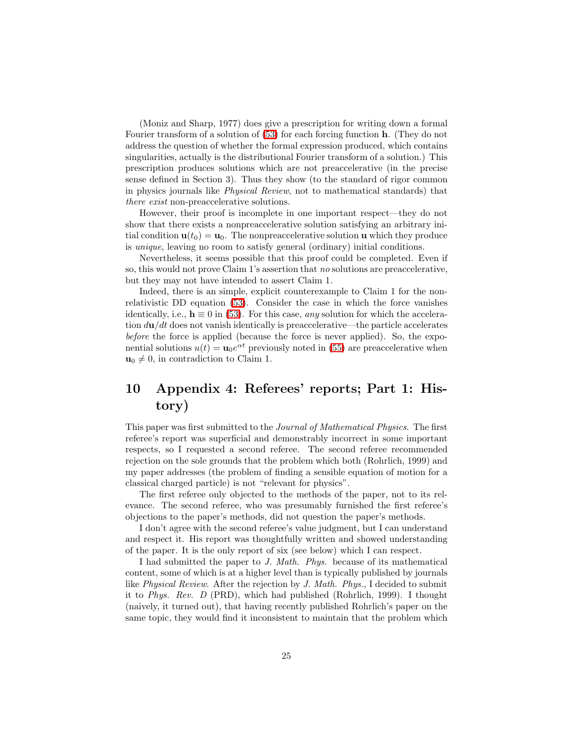(Moniz and Sharp, 1977) does give a prescription for writing down a formal Fourier transform of a solution of [\(53\)](#page-23-0) for each forcing function h. (They do not address the question of whether the formal expression produced, which contains singularities, actually is the distributional Fourier transform of a solution.) This prescription produces solutions which are not preaccelerative (in the precise sense defined in Section 3). Thus they show (to the standard of rigor common in physics journals like Physical Review, not to mathematical standards) that there exist non-preaccelerative solutions.

However, their proof is incomplete in one important respect—they do not show that there exists a nonpreaccelerative solution satisfying an arbitrary initial condition  $\mathbf{u}(t_0) = \mathbf{u}_0$ . The nonpreaccelerative solution **u** which they produce is unique, leaving no room to satisfy general (ordinary) initial conditions.

Nevertheless, it seems possible that this proof could be completed. Even if so, this would not prove Claim 1's assertion that no solutions are preaccelerative, but they may not have intended to assert Claim 1.

Indeed, there is an simple, explicit counterexample to Claim 1 for the nonrelativistic DD equation [\(53\)](#page-23-0). Consider the case in which the force vanishes identically, i.e.,  $h \equiv 0$  in [\(53\)](#page-23-0). For this case, any solution for which the acceleration  $d\mathbf{u}/dt$  does not vanish identically is preaccelerative—the particle accelerates before the force is applied (because the force is never applied). So, the exponential solutions  $u(t) = \mathbf{u}_0 e^{\alpha t}$  previously noted in [\(55\)](#page-23-2) are preaccelerative when  $u_0 \neq 0$ , in contradiction to Claim 1.

# 10 Appendix 4: Referees' reports; Part 1: History)

This paper was first submitted to the Journal of Mathematical Physics. The first referee's report was superficial and demonstrably incorrect in some important respects, so I requested a second referee. The second referee recommended rejection on the sole grounds that the problem which both (Rohrlich, 1999) and my paper addresses (the problem of finding a sensible equation of motion for a classical charged particle) is not "relevant for physics".

The first referee only objected to the methods of the paper, not to its relevance. The second referee, who was presumably furnished the first referee's objections to the paper's methods, did not question the paper's methods.

I don't agree with the second referee's value judgment, but I can understand and respect it. His report was thoughtfully written and showed understanding of the paper. It is the only report of six (see below) which I can respect.

I had submitted the paper to J. Math. Phys. because of its mathematical content, some of which is at a higher level than is typically published by journals like Physical Review. After the rejection by J. Math. Phys., I decided to submit it to Phys. Rev. D (PRD), which had published (Rohrlich, 1999). I thought (naively, it turned out), that having recently published Rohrlich's paper on the same topic, they would find it inconsistent to maintain that the problem which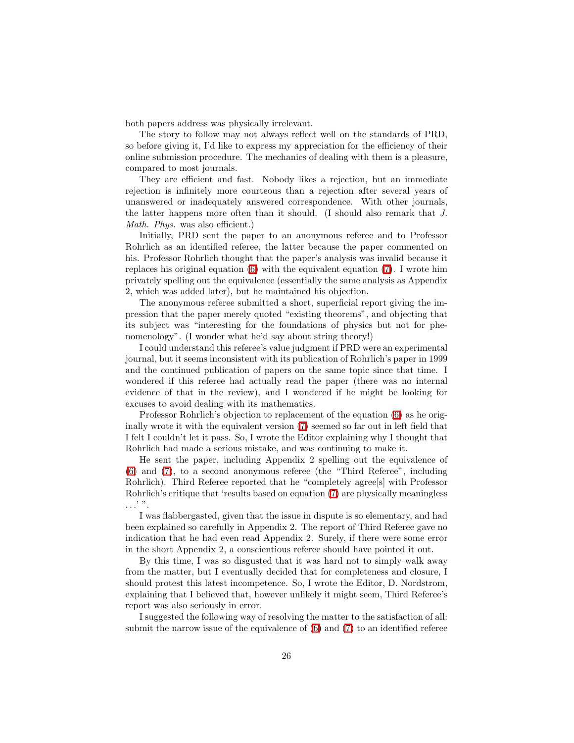both papers address was physically irrelevant.

The story to follow may not always reflect well on the standards of PRD, so before giving it, I'd like to express my appreciation for the efficiency of their online submission procedure. The mechanics of dealing with them is a pleasure, compared to most journals.

They are efficient and fast. Nobody likes a rejection, but an immediate rejection is infinitely more courteous than a rejection after several years of unanswered or inadequately answered correspondence. With other journals, the latter happens more often than it should. (I should also remark that J. Math. Phys. was also efficient.)

Initially, PRD sent the paper to an anonymous referee and to Professor Rohrlich as an identified referee, the latter because the paper commented on his. Professor Rohrlich thought that the paper's analysis was invalid because it replaces his original equation [\(6\)](#page-20-0) with the equivalent equation [\(7\)](#page-28-0). I wrote him privately spelling out the equivalence (essentially the same analysis as Appendix 2, which was added later), but he maintained his objection.

The anonymous referee submitted a short, superficial report giving the impression that the paper merely quoted "existing theorems", and objecting that its subject was "interesting for the foundations of physics but not for phenomenology". (I wonder what he'd say about string theory!)

I could understand this referee's value judgment if PRD were an experimental journal, but it seems inconsistent with its publication of Rohrlich's paper in 1999 and the continued publication of papers on the same topic since that time. I wondered if this referee had actually read the paper (there was no internal evidence of that in the review), and I wondered if he might be looking for excuses to avoid dealing with its mathematics.

Professor Rohrlich's objection to replacement of the equation [\(6\)](#page-20-0) as he originally wrote it with the equivalent version [\(7\)](#page-28-0) seemed so far out in left field that I felt I couldn't let it pass. So, I wrote the Editor explaining why I thought that Rohrlich had made a serious mistake, and was continuing to make it.

He sent the paper, including Appendix 2 spelling out the equivalence of [\(6\)](#page-20-0) and [\(7\)](#page-28-0), to a second anonymous referee (the "Third Referee", including Rohrlich). Third Referee reported that he "completely agree<sup>[s]</sup> with Professor Rohrlich's critique that 'results based on equation [\(7\)](#page-28-0) are physically meaningless . . .' ".

I was flabbergasted, given that the issue in dispute is so elementary, and had been explained so carefully in Appendix 2. The report of Third Referee gave no indication that he had even read Appendix 2. Surely, if there were some error in the short Appendix 2, a conscientious referee should have pointed it out.

By this time, I was so disgusted that it was hard not to simply walk away from the matter, but I eventually decided that for completeness and closure, I should protest this latest incompetence. So, I wrote the Editor, D. Nordstrom, explaining that I believed that, however unlikely it might seem, Third Referee's report was also seriously in error.

I suggested the following way of resolving the matter to the satisfaction of all: submit the narrow issue of the equivalence of [\(6\)](#page-20-0) and [\(7\)](#page-28-0) to an identified referee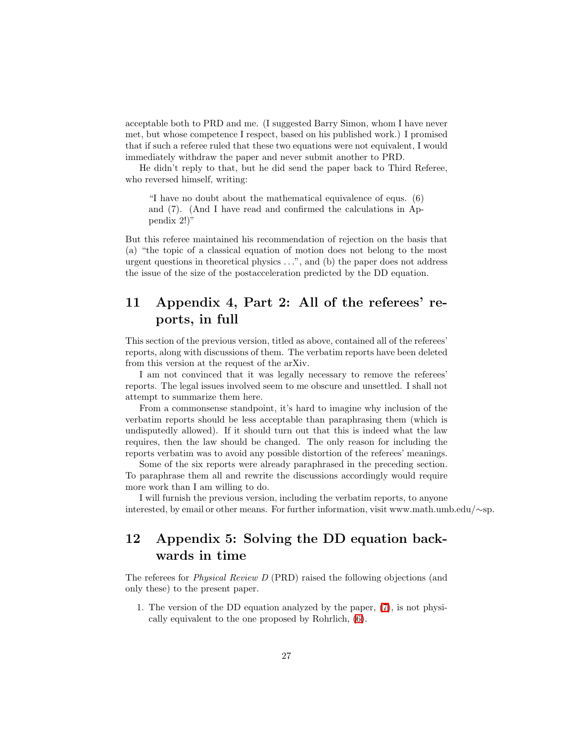acceptable both to PRD and me. (I suggested Barry Simon, whom I have never met, but whose competence I respect, based on his published work.) I promised that if such a referee ruled that these two equations were not equivalent, I would immediately withdraw the paper and never submit another to PRD.

He didn't reply to that, but he did send the paper back to Third Referee, who reversed himself, writing:

"I have no doubt about the mathematical equivalence of equs. (6) and (7). (And I have read and confirmed the calculations in Appendix 2!)"

But this referee maintained his recommendation of rejection on the basis that (a) "the topic of a classical equation of motion does not belong to the most urgent questions in theoretical physics  $\dots$ ", and (b) the paper does not address the issue of the size of the postacceleration predicted by the DD equation.

## 11 Appendix 4, Part 2: All of the referees' reports, in full

This section of the previous version, titled as above, contained all of the referees' reports, along with discussions of them. The verbatim reports have been deleted from this version at the request of the arXiv.

I am not convinced that it was legally necessary to remove the referees' reports. The legal issues involved seem to me obscure and unsettled. I shall not attempt to summarize them here.

From a commonsense standpoint, it's hard to imagine why inclusion of the verbatim reports should be less acceptable than paraphrasing them (which is undisputedly allowed). If it should turn out that this is indeed what the law requires, then the law should be changed. The only reason for including the reports verbatim was to avoid any possible distortion of the referees' meanings.

Some of the six reports were already paraphrased in the preceding section. To paraphrase them all and rewrite the discussions accordingly would require more work than I am willing to do.

I will furnish the previous version, including the verbatim reports, to anyone interested, by email or other means. For further information, visit www.math.umb.edu/∼sp.

## 12 Appendix 5: Solving the DD equation backwards in time

The referees for Physical Review D (PRD) raised the following objections (and only these) to the present paper.

1. The version of the DD equation analyzed by the paper, [\(7\)](#page-28-0), is not physically equivalent to the one proposed by Rohrlich, [\(6\)](#page-20-0).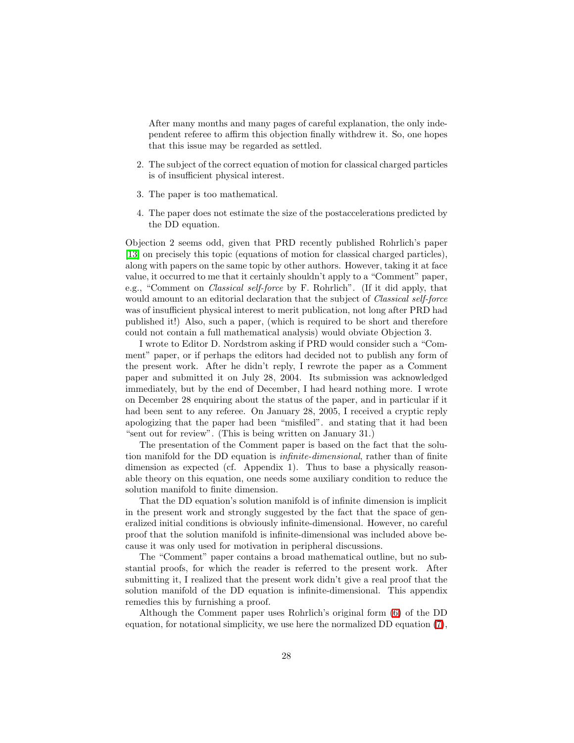After many months and many pages of careful explanation, the only independent referee to affirm this objection finally withdrew it. So, one hopes that this issue may be regarded as settled.

- 2. The subject of the correct equation of motion for classical charged particles is of insufficient physical interest.
- 3. The paper is too mathematical.
- 4. The paper does not estimate the size of the postaccelerations predicted by the DD equation.

Objection 2 seems odd, given that PRD recently published Rohrlich's paper [\[13\]](#page-29-0) on precisely this topic (equations of motion for classical charged particles), along with papers on the same topic by other authors. However, taking it at face value, it occurred to me that it certainly shouldn't apply to a "Comment" paper, e.g., "Comment on Classical self-force by F. Rohrlich". (If it did apply, that would amount to an editorial declaration that the subject of *Classical self-force* was of insufficient physical interest to merit publication, not long after PRD had published it!) Also, such a paper, (which is required to be short and therefore could not contain a full mathematical analysis) would obviate Objection 3.

I wrote to Editor D. Nordstrom asking if PRD would consider such a "Comment" paper, or if perhaps the editors had decided not to publish any form of the present work. After he didn't reply, I rewrote the paper as a Comment paper and submitted it on July 28, 2004. Its submission was acknowledged immediately, but by the end of December, I had heard nothing more. I wrote on December 28 enquiring about the status of the paper, and in particular if it had been sent to any referee. On January 28, 2005, I received a cryptic reply apologizing that the paper had been "misfiled". and stating that it had been "sent out for review". (This is being written on January 31.)

The presentation of the Comment paper is based on the fact that the solution manifold for the DD equation is *infinite-dimensional*, rather than of finite dimension as expected (cf. Appendix 1). Thus to base a physically reasonable theory on this equation, one needs some auxiliary condition to reduce the solution manifold to finite dimension.

That the DD equation's solution manifold is of infinite dimension is implicit in the present work and strongly suggested by the fact that the space of generalized initial conditions is obviously infinite-dimensional. However, no careful proof that the solution manifold is infinite-dimensional was included above because it was only used for motivation in peripheral discussions.

The "Comment" paper contains a broad mathematical outline, but no substantial proofs, for which the reader is referred to the present work. After submitting it, I realized that the present work didn't give a real proof that the solution manifold of the DD equation is infinite-dimensional. This appendix remedies this by furnishing a proof.

Although the Comment paper uses Rohrlich's original form [\(6\)](#page-20-0) of the DD equation, for notational simplicity, we use here the normalized DD equation [\(7\)](#page-28-0),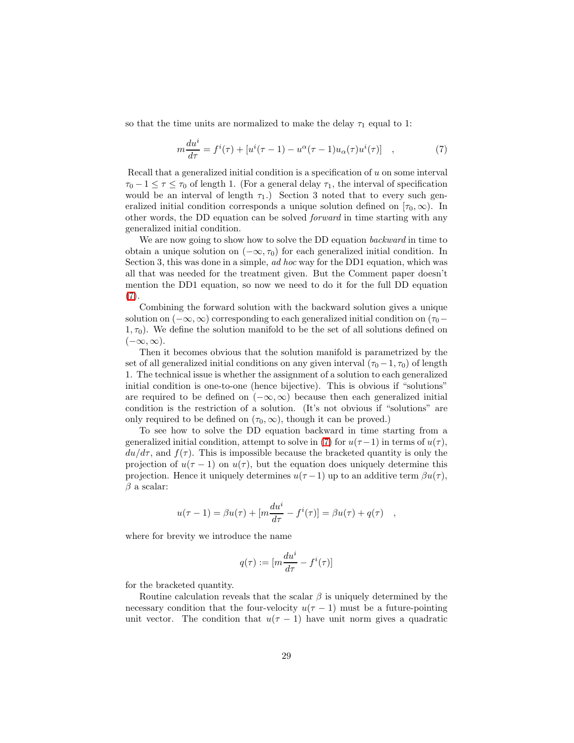<span id="page-28-0"></span>so that the time units are normalized to make the delay  $\tau_1$  equal to 1:

$$
m\frac{du^{i}}{d\tau} = f^{i}(\tau) + [u^{i}(\tau - 1) - u^{\alpha}(\tau - 1)u_{\alpha}(\tau)u^{i}(\tau)], \qquad (7)
$$

Recall that a generalized initial condition is a specification of u on some interval  $\tau_0 - 1 \leq \tau \leq \tau_0$  of length 1. (For a general delay  $\tau_1$ , the interval of specification would be an interval of length  $\tau_1$ .) Section 3 noted that to every such generalized initial condition corresponds a unique solution defined on  $[\tau_0, \infty)$ . In other words, the DD equation can be solved forward in time starting with any generalized initial condition.

We are now going to show how to solve the DD equation *backward* in time to obtain a unique solution on  $(-\infty, \tau_0)$  for each generalized initial condition. In Section 3, this was done in a simple, *ad hoc* way for the DD1 equation, which was all that was needed for the treatment given. But the Comment paper doesn't mention the DD1 equation, so now we need to do it for the full DD equation [\(7\)](#page-28-0).

Combining the forward solution with the backward solution gives a unique solution on  $(-\infty, \infty)$  corresponding to each generalized initial condition on  $(\tau_0$  $1, \tau_0$ ). We define the solution manifold to be the set of all solutions defined on  $(-\infty, \infty).$ 

Then it becomes obvious that the solution manifold is parametrized by the set of all generalized initial conditions on any given interval  $(\tau_0 - 1, \tau_0)$  of length 1. The technical issue is whether the assignment of a solution to each generalized initial condition is one-to-one (hence bijective). This is obvious if "solutions" are required to be defined on  $(-\infty, \infty)$  because then each generalized initial condition is the restriction of a solution. (It's not obvious if "solutions" are only required to be defined on  $(\tau_0, \infty)$ , though it can be proved.)

To see how to solve the DD equation backward in time starting from a generalized initial condition, attempt to solve in [\(7\)](#page-28-0) for  $u(\tau - 1)$  in terms of  $u(\tau)$ ,  $du/d\tau$ , and  $f(\tau)$ . This is impossible because the bracketed quantity is only the projection of  $u(\tau - 1)$  on  $u(\tau)$ , but the equation does uniquely determine this projection. Hence it uniquely determines  $u(\tau - 1)$  up to an additive term  $\beta u(\tau)$ ,  $\beta$  a scalar:

$$
u(\tau - 1) = \beta u(\tau) + [m \frac{du^{i}}{d\tau} - f^{i}(\tau)] = \beta u(\tau) + q(\tau) ,
$$

where for brevity we introduce the name

$$
q(\tau):=[m\frac{du^i}{d\tau}-f^i(\tau)]
$$

for the bracketed quantity.

Routine calculation reveals that the scalar  $\beta$  is uniquely determined by the necessary condition that the four-velocity  $u(\tau - 1)$  must be a future-pointing unit vector. The condition that  $u(\tau - 1)$  have unit norm gives a quadratic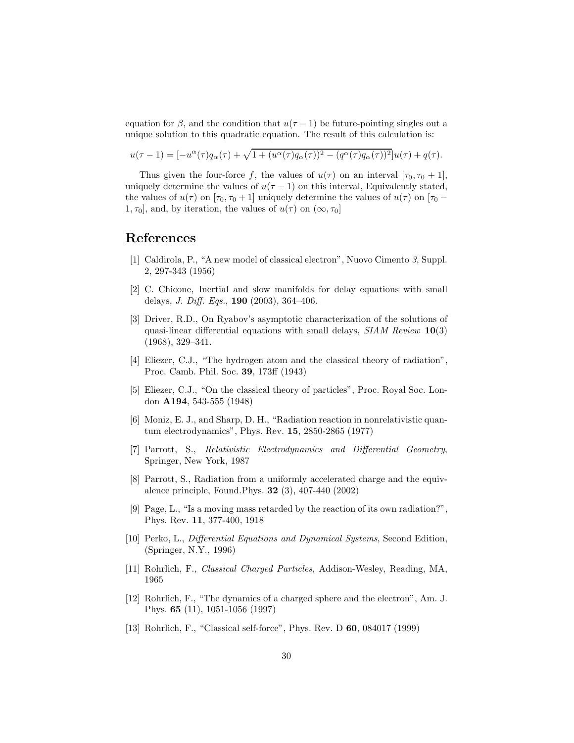equation for  $\beta$ , and the condition that  $u(\tau - 1)$  be future-pointing singles out a unique solution to this quadratic equation. The result of this calculation is:

$$
u(\tau - 1) = [-u^{\alpha}(\tau)q_{\alpha}(\tau) + \sqrt{1 + (u^{\alpha}(\tau)q_{\alpha}(\tau))^{2} - (q^{\alpha}(\tau)q_{\alpha}(\tau))^{2}}]u(\tau) + q(\tau).
$$

Thus given the four-force f, the values of  $u(\tau)$  on an interval  $[\tau_0, \tau_0 + 1]$ , uniquely determine the values of  $u(\tau - 1)$  on this interval, Equivalently stated, the values of  $u(\tau)$  on  $[\tau_0, \tau_0 + 1]$  uniquely determine the values of  $u(\tau)$  on  $[\tau_0 -$ 1,  $\tau_0$ , and, by iteration, the values of  $u(\tau)$  on  $(\infty, \tau_0]$ 

### References

- [1] Caldirola, P., "A new model of classical electron", Nuovo Cimento 3, Suppl. 2, 297-343 (1956)
- [2] C. Chicone, Inertial and slow manifolds for delay equations with small delays, *J. Diff. Eqs.*, **190** (2003), 364-406.
- [3] Driver, R.D., On Ryabov's asymptotic characterization of the solutions of quasi-linear differential equations with small delays,  $SIAM$  Review  $10(3)$ (1968), 329–341.
- [4] Eliezer, C.J., "The hydrogen atom and the classical theory of radiation", Proc. Camb. Phil. Soc. 39, 173ff (1943)
- [5] Eliezer, C.J., "On the classical theory of particles", Proc. Royal Soc. London A194, 543-555 (1948)
- [6] Moniz, E. J., and Sharp, D. H., "Radiation reaction in nonrelativistic quantum electrodynamics", Phys. Rev. 15, 2850-2865 (1977)
- [7] Parrott, S., Relativistic Electrodynamics and Differential Geometry, Springer, New York, 1987
- [8] Parrott, S., Radiation from a uniformly accelerated charge and the equivalence principle, Found.Phys. 32 (3), 407-440 (2002)
- [9] Page, L., "Is a moving mass retarded by the reaction of its own radiation?", Phys. Rev. 11, 377-400, 1918
- [10] Perko, L., Differential Equations and Dynamical Systems, Second Edition, (Springer, N.Y., 1996)
- [11] Rohrlich, F., Classical Charged Particles, Addison-Wesley, Reading, MA, 1965
- [12] Rohrlich, F., "The dynamics of a charged sphere and the electron", Am. J. Phys. 65 (11), 1051-1056 (1997)
- <span id="page-29-0"></span>[13] Rohrlich, F., "Classical self-force", Phys. Rev. D 60, 084017 (1999)